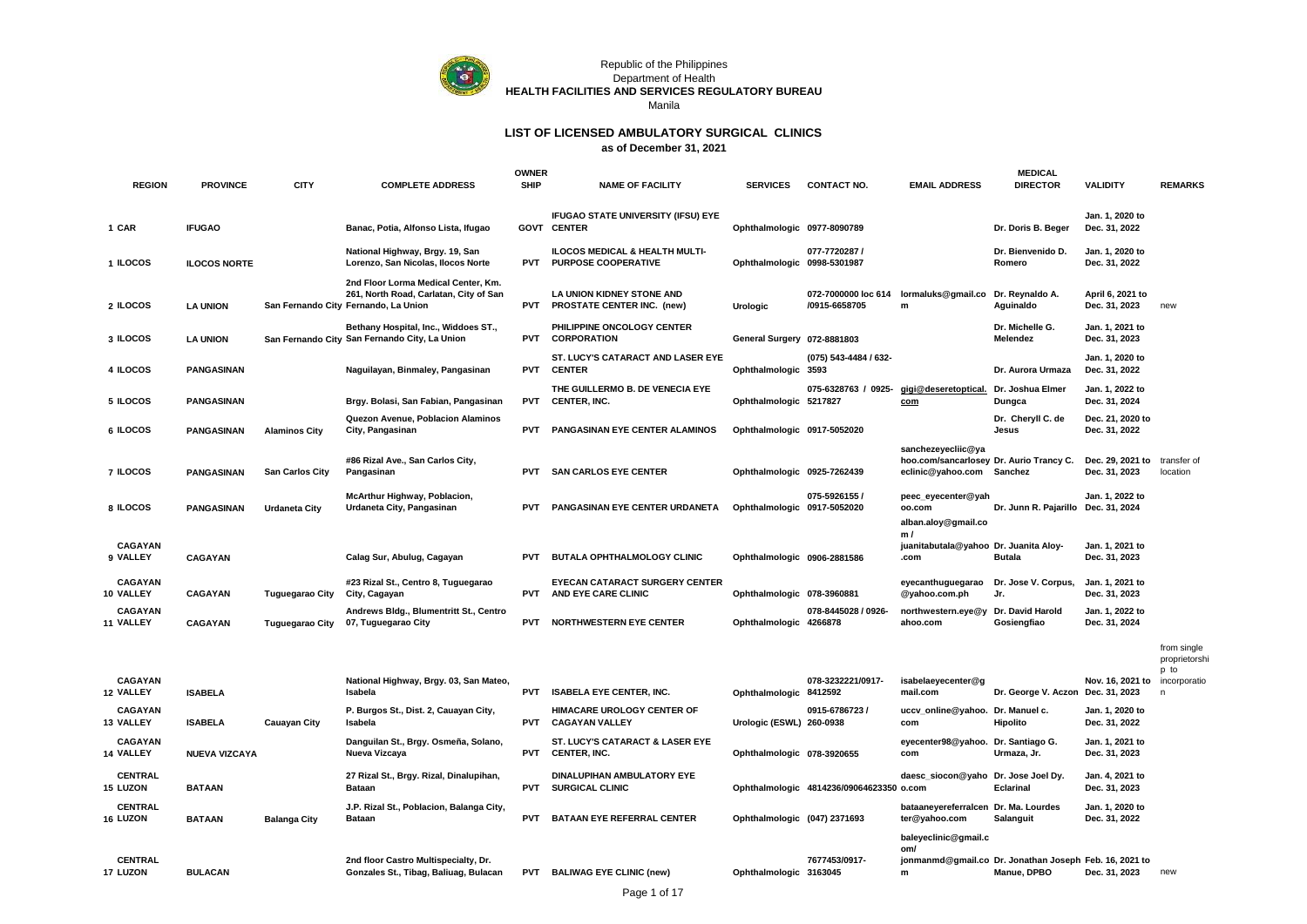

#### Republic of the Philippines Department of Health **HEALTH FACILITIES AND SERVICES REGULATORY BUREAU** Manila

| <b>REGION</b>               | <b>PROVINCE</b>      | <b>CITY</b>            | <b>COMPLETE ADDRESS</b>                                                                                               | <b>OWNER</b><br><b>SHIP</b> | <b>NAME OF FACILITY</b>                                      | <b>SERVICES</b>              | <b>CONTACT NO.</b>                       | <b>EMAIL ADDRESS</b>                                                               | <b>MEDICAL</b><br><b>DIRECTOR</b>                                     | <b>VALIDITY</b>                   | <b>REMARKS</b>                      |
|-----------------------------|----------------------|------------------------|-----------------------------------------------------------------------------------------------------------------------|-----------------------------|--------------------------------------------------------------|------------------------------|------------------------------------------|------------------------------------------------------------------------------------|-----------------------------------------------------------------------|-----------------------------------|-------------------------------------|
| 1 CAR                       | <b>IFUGAO</b>        |                        | Banac, Potia, Alfonso Lista, Ifugao                                                                                   |                             | IFUGAO STATE UNIVERSITY (IFSU) EYE<br><b>GOVT CENTER</b>     | Ophthalmologic 0977-8090789  |                                          |                                                                                    | Dr. Doris B. Beger                                                    | Jan. 1, 2020 to<br>Dec. 31, 2022  |                                     |
| 1 ILOCOS                    | <b>ILOCOS NORTE</b>  |                        | National Highway, Brgy. 19, San<br>Lorenzo, San Nicolas, Ilocos Norte                                                 | <b>PVT</b>                  | ILOCOS MEDICAL & HEALTH MULTI-<br><b>PURPOSE COOPERATIVE</b> | Ophthalmologic 0998-5301987  | 077-7720287 /                            |                                                                                    | Dr. Bienvenido D.<br>Romero                                           | Jan. 1, 2020 to<br>Dec. 31, 2022  |                                     |
| 2 ILOCOS                    | <b>LA UNION</b>      |                        | 2nd Floor Lorma Medical Center, Km.<br>261, North Road, Carlatan, City of San<br>San Fernando City Fernando, La Union |                             | LA UNION KIDNEY STONE AND<br>PVT PROSTATE CENTER INC. (new)  | Urologic                     | /0915-6658705                            | 072-7000000 loc 614 lormaluks@gmail.co<br>m                                        | Dr. Reynaldo A.<br>Aguinaldo                                          | April 6, 2021 to<br>Dec. 31, 2023 | new                                 |
| 3 ILOCOS                    | <b>LA UNION</b>      |                        | Bethany Hospital, Inc., Widdoes ST.,<br>San Fernando City San Fernando City, La Union                                 | <b>PVT</b>                  | PHILIPPINE ONCOLOGY CENTER<br><b>CORPORATION</b>             | General Surgery 072-8881803  |                                          |                                                                                    | Dr. Michelle G.<br>Melendez                                           | Jan. 1, 2021 to<br>Dec. 31, 2023  |                                     |
| 4 ILOCOS                    | <b>PANGASINAN</b>    |                        | Naguilayan, Binmaley, Pangasinan                                                                                      | <b>PVT</b>                  | ST. LUCY'S CATARACT AND LASER EYE<br><b>CENTER</b>           | Ophthalmologic 3593          | (075) 543-4484 / 632-                    |                                                                                    | Dr. Aurora Urmaza                                                     | Jan. 1, 2020 to<br>Dec. 31, 2022  |                                     |
| 5 ILOCOS                    | <b>PANGASINAN</b>    |                        | Brgy. Bolasi, San Fabian, Pangasinan                                                                                  | <b>PVT</b>                  | THE GUILLERMO B. DE VENECIA EYE<br><b>CENTER, INC.</b>       | Ophthalmologic 5217827       | 075-6328763 / 0925-                      | gigi@deseretoptical.<br>com                                                        | Dr. Joshua Elmer<br>Dungca                                            | Jan. 1, 2022 to<br>Dec. 31, 2024  |                                     |
| 6 ILOCOS                    | <b>PANGASINAN</b>    | <b>Alaminos City</b>   | Quezon Avenue, Poblacion Alaminos<br>City, Pangasinan                                                                 | <b>PVT</b>                  | PANGASINAN EYE CENTER ALAMINOS                               | Ophthalmologic 0917-5052020  |                                          |                                                                                    | Dr. Cheryll C. de<br>Jesus                                            | Dec. 21, 2020 to<br>Dec. 31, 2022 |                                     |
| 7 ILOCOS                    | <b>PANGASINAN</b>    | <b>San Carlos City</b> | #86 Rizal Ave., San Carlos City,<br>Pangasinan                                                                        | <b>PVT</b>                  | <b>SAN CARLOS EYE CENTER</b>                                 | Ophthalmologic 0925-7262439  |                                          | sanchezeyecliic@ya<br>hoo.com/sancarlosey Dr. Aurio Trancy C.<br>eclinic@yahoo.com | Sanchez                                                               | Dec. 29, 2021 to<br>Dec. 31, 2023 | transfer of<br>location             |
| 8 ILOCOS                    | <b>PANGASINAN</b>    | <b>Urdaneta City</b>   | McArthur Highway, Poblacion,<br>Urdaneta City, Pangasinan                                                             | <b>PVT</b>                  | PANGASINAN EYE CENTER URDANETA                               | Ophthalmologic 0917-5052020  | 075-5926155 /                            | peec_eyecenter@yah<br>oo.com                                                       | Dr. Junn R. Pajarillo Dec. 31, 2024                                   | Jan. 1, 2022 to                   |                                     |
|                             |                      |                        |                                                                                                                       |                             |                                                              |                              |                                          | alban.aloy@gmail.co<br>m/                                                          |                                                                       |                                   |                                     |
| CAGAYAN<br>9 VALLEY         | <b>CAGAYAN</b>       |                        | Calag Sur, Abulug, Cagayan                                                                                            | <b>PVT</b>                  | BUTALA OPHTHALMOLOGY CLINIC                                  | Ophthalmologic 0906-2881586  |                                          | juanitabutala@yahoo Dr. Juanita Aloy-<br>.com                                      | <b>Butala</b>                                                         | Jan. 1, 2021 to<br>Dec. 31, 2023  |                                     |
| <b>CAGAYAN</b><br>10 VALLEY | <b>CAGAYAN</b>       | <b>Tuguegarao City</b> | #23 Rizal St., Centro 8, Tuguegarao<br>City, Cagayan                                                                  | <b>PVT</b>                  | <b>EYECAN CATARACT SURGERY CENTER</b><br>AND EYE CARE CLINIC | Ophthalmologic 078-3960881   |                                          | eyecanthuguegarao<br>@yahoo.com.ph                                                 | Dr. Jose V. Corpus,<br>Jr.                                            | Jan. 1, 2021 to<br>Dec. 31, 2023  |                                     |
| CAGAYAN<br>11 VALLEY        | <b>CAGAYAN</b>       | <b>Tuguegarao City</b> | Andrews Bldg., Blumentritt St., Centro<br>07, Tuguegarao City                                                         | <b>PVT</b>                  | <b>NORTHWESTERN EYE CENTER</b>                               | Ophthalmologic 4266878       | 078-8445028 / 0926-                      | northwestern.eye@y<br>ahoo.com                                                     | Dr. David Harold<br>Gosiengfiao                                       | Jan. 1, 2022 to<br>Dec. 31, 2024  |                                     |
|                             |                      |                        |                                                                                                                       |                             |                                                              |                              |                                          |                                                                                    |                                                                       |                                   | from single<br>proprietorsh<br>p to |
| CAGAYAN<br>12 VALLEY        | <b>ISABELA</b>       |                        | National Highway, Brgy. 03, San Mateo,<br>Isabela                                                                     | <b>PVT</b>                  | <b>ISABELA EYE CENTER, INC.</b>                              | Ophthalmologic 8412592       | 078-3232221/0917-                        | isabelaeyecenter@g<br>mail.com                                                     | Dr. George V. Aczon Dec. 31, 2023                                     | Nov. 16, 2021 to                  | incorporatio<br>n                   |
| <b>CAGAYAN</b><br>13 VALLEY | <b>ISABELA</b>       | <b>Cauayan City</b>    | P. Burgos St., Dist. 2, Cauayan City,<br>Isabela                                                                      | <b>PVT</b>                  | HIMACARE UROLOGY CENTER OF<br><b>CAGAYAN VALLEY</b>          | Urologic (ESWL) 260-0938     | 0915-6786723 /                           | uccv_online@yahoo.<br>com                                                          | Dr. Manuel c.<br>Hipolito                                             | Jan. 1, 2020 to<br>Dec. 31, 2022  |                                     |
| <b>CAGAYAN</b><br>14 VALLEY | <b>NUEVA VIZCAYA</b> |                        | Danguilan St., Brgy. Osmeña, Solano,<br>Nueva Vizcaya                                                                 | <b>PVT</b>                  | ST. LUCY'S CATARACT & LASER EYE<br>CENTER, INC.              | Ophthalmologic 078-3920655   |                                          | eyecenter98@yahoo. Dr. Santiago G.<br>com                                          | Urmaza, Jr.                                                           | Jan. 1, 2021 to<br>Dec. 31, 2023  |                                     |
| <b>CENTRAL</b><br>15 LUZON  | <b>BATAAN</b>        |                        | 27 Rizal St., Brgy. Rizal, Dinalupihan,<br><b>Bataan</b>                                                              | <b>PVT</b>                  | DINALUPIHAN AMBULATORY EYE<br><b>SURGICAL CLINIC</b>         |                              | Ophthalmologic 4814236/09064623350 o.com | daesc_siocon@yaho Dr. Jose Joel Dy.                                                | Eclarinal                                                             | Jan. 4, 2021 to<br>Dec. 31, 2023  |                                     |
| <b>CENTRAL</b><br>16 LUZON  | <b>BATAAN</b>        | <b>Balanga City</b>    | J.P. Rizal St., Poblacion, Balanga City,<br><b>Bataan</b>                                                             | <b>PVT</b>                  | <b>BATAAN EYE REFERRAL CENTER</b>                            | Ophthalmologic (047) 2371693 |                                          | bataaneyereferralcen Dr. Ma. Lourdes<br>ter@yahoo.com                              | Salanguit                                                             | Jan. 1, 2020 to<br>Dec. 31, 2022  |                                     |
|                             |                      |                        |                                                                                                                       |                             |                                                              |                              |                                          | baleyeclinic@gmail.c<br>om/                                                        |                                                                       |                                   |                                     |
| <b>CENTRAL</b><br>17 LUZON  | <b>BULACAN</b>       |                        | 2nd floor Castro Multispecialty, Dr.<br>Gonzales St., Tibag, Baliuag, Bulacan                                         |                             | PVT BALIWAG EYE CLINIC (new)                                 | Ophthalmologic 3163045       | 7677453/0917-                            | ${\bf m}$                                                                          | jonmanmd@gmail.co Dr. Jonathan Joseph Feb. 16, 2021 to<br>Manue, DPBO | Dec. 31, 2023                     | new                                 |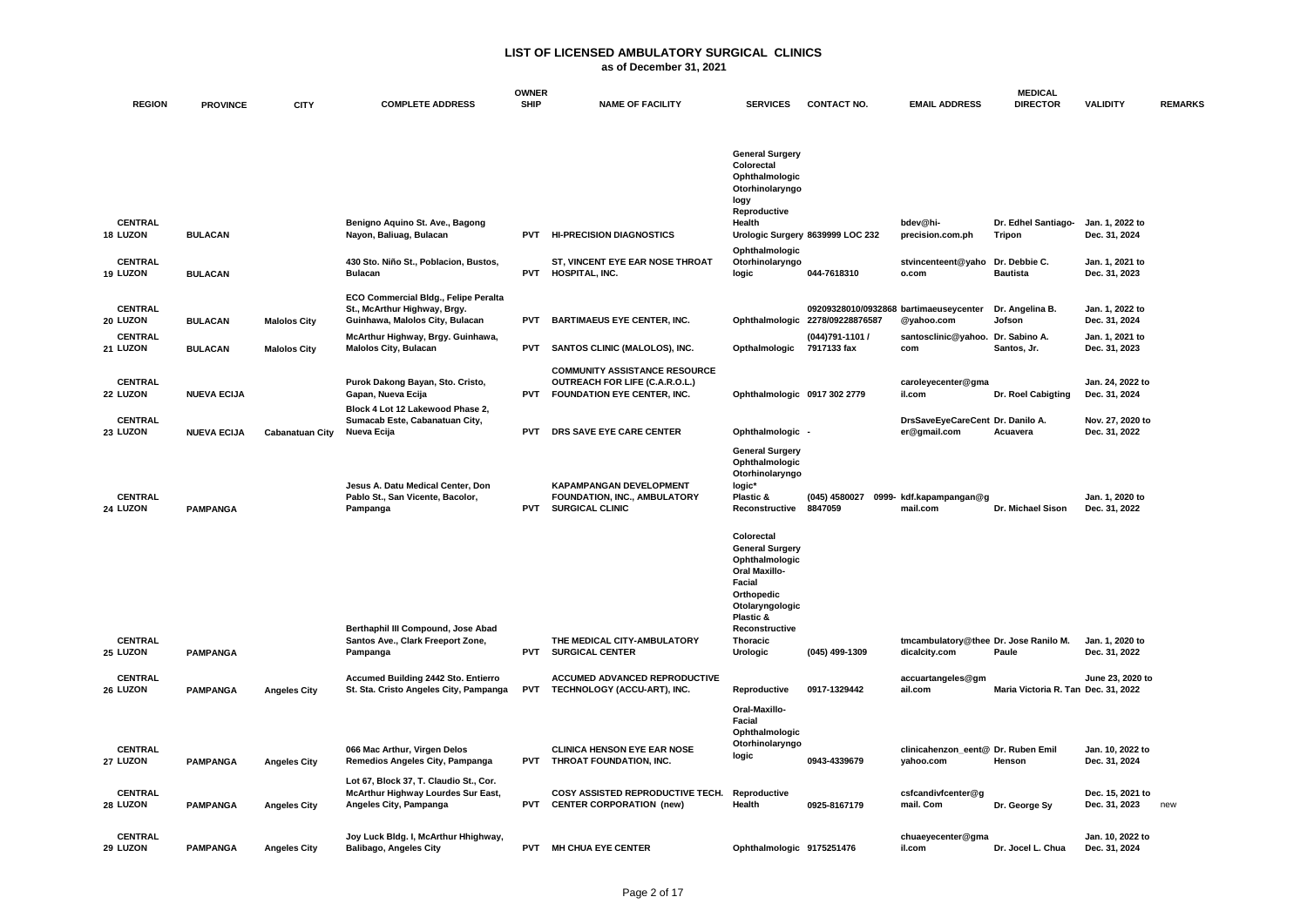|                            |                    |                        |                                                                                                               | <b>OWNER</b> |                                                                                                              |                                                                                                                                                                                  |                                                                           |                                                        | <b>MEDICAL</b>                      |                                   |                |
|----------------------------|--------------------|------------------------|---------------------------------------------------------------------------------------------------------------|--------------|--------------------------------------------------------------------------------------------------------------|----------------------------------------------------------------------------------------------------------------------------------------------------------------------------------|---------------------------------------------------------------------------|--------------------------------------------------------|-------------------------------------|-----------------------------------|----------------|
| <b>REGION</b>              | <b>PROVINCE</b>    | <b>CITY</b>            | <b>COMPLETE ADDRESS</b>                                                                                       | <b>SHIP</b>  | <b>NAME OF FACILITY</b>                                                                                      | <b>SERVICES</b>                                                                                                                                                                  | <b>CONTACT NO.</b>                                                        | <b>EMAIL ADDRESS</b>                                   | <b>DIRECTOR</b>                     | <b>VALIDITY</b>                   | <b>REMARKS</b> |
|                            |                    |                        |                                                                                                               |              |                                                                                                              | <b>General Surgery</b><br>Colorectal<br>Ophthalmologic<br>Otorhinolaryngo<br>logy<br>Reproductive                                                                                |                                                                           |                                                        |                                     |                                   |                |
| <b>CENTRAL</b><br>18 LUZON | <b>BULACAN</b>     |                        | Benigno Aquino St. Ave., Bagong<br>Nayon, Baliuag, Bulacan                                                    |              | PVT HI-PRECISION DIAGNOSTICS                                                                                 | Health                                                                                                                                                                           | Urologic Surgery 8639999 LOC 232                                          | bdev@hi-<br>precision.com.ph                           | Dr. Edhel Santiago-<br>Tripon       | Jan. 1. 2022 to<br>Dec. 31, 2024  |                |
| <b>CENTRAL</b><br>19 LUZON | <b>BULACAN</b>     |                        | 430 Sto. Niño St., Poblacion, Bustos,<br><b>Bulacan</b>                                                       | <b>PVT</b>   | ST, VINCENT EYE EAR NOSE THROAT<br>HOSPITAL, INC.                                                            | Ophthalmologic<br>Otorhinolaryngo<br>logic                                                                                                                                       | 044-7618310                                                               | stvincenteent@yaho<br>o.com                            | Dr. Debbie C.<br><b>Bautista</b>    | Jan. 1, 2021 to<br>Dec. 31, 2023  |                |
| <b>CENTRAL</b><br>20 LUZON | <b>BULACAN</b>     | <b>Malolos City</b>    | ECO Commercial Bldg., Felipe Peralta<br>St., McArthur Highway, Brgy.<br>Guinhawa, Malolos City, Bulacan       | <b>PVT</b>   | <b>BARTIMAEUS EYE CENTER, INC.</b>                                                                           |                                                                                                                                                                                  | 09209328010/0932868 bartimaeuseycenter<br>Ophthalmologic 2278/09228876587 | @yahoo.com                                             | Dr. Angelina B.<br>Jofson           | Jan. 1, 2022 to<br>Dec. 31, 2024  |                |
| <b>CENTRAL</b><br>21 LUZON | <b>BULACAN</b>     | <b>Malolos City</b>    | McArthur Highway, Brgy. Guinhawa,<br><b>Malolos City, Bulacan</b>                                             | PVT          | SANTOS CLINIC (MALOLOS), INC.                                                                                | Opthalmologic                                                                                                                                                                    | (044)791-1101 /<br>7917133 fax                                            | santosclinic@yahoo. Dr. Sabino A.<br>com               | Santos, Jr.                         | Jan. 1, 2021 to<br>Dec. 31, 2023  |                |
| <b>CENTRAL</b><br>22 LUZON | <b>NUEVA ECIJA</b> |                        | Purok Dakong Bayan, Sto. Cristo,<br>Gapan, Nueva Ecija<br>Block 4 Lot 12 Lakewood Phase 2,                    | PVT          | <b>COMMUNITY ASSISTANCE RESOURCE</b><br>OUTREACH FOR LIFE (C.A.R.O.L.)<br><b>FOUNDATION EYE CENTER, INC.</b> | Ophthalmologic 0917 302 2779                                                                                                                                                     |                                                                           | caroleyecenter@gma<br>il.com                           | Dr. Roel Cabigting                  | Jan. 24, 2022 to<br>Dec. 31, 2024 |                |
| <b>CENTRAL</b><br>23 LUZON | <b>NUEVA ECIJA</b> | <b>Cabanatuan City</b> | Sumacab Este, Cabanatuan City,<br>Nueva Ecija                                                                 | <b>PVT</b>   | DRS SAVE EYE CARE CENTER                                                                                     | Ophthalmologic -                                                                                                                                                                 |                                                                           | DrsSaveEyeCareCent Dr. Danilo A.<br>er@gmail.com       | Acuavera                            | Nov. 27, 2020 to<br>Dec. 31, 2022 |                |
| <b>CENTRAL</b><br>24 LUZON | <b>PAMPANGA</b>    |                        | Jesus A. Datu Medical Center, Don<br>Pablo St., San Vicente, Bacolor,<br>Pampanga                             | <b>PVT</b>   | <b>KAPAMPANGAN DEVELOPMENT</b><br>FOUNDATION, INC., AMBULATORY<br><b>SURGICAL CLINIC</b>                     | <b>General Surgery</b><br>Ophthalmologic<br>Otorhinolaryngo<br>logic*<br>Plastic &<br>Reconstructive 8847059                                                                     | (045) 4580027                                                             | 0999- kdf.kapampangan@g<br>mail.com                    | Dr. Michael Sison                   | Jan. 1, 2020 to<br>Dec. 31, 2022  |                |
| <b>CENTRAL</b><br>25 LUZON | <b>PAMPANGA</b>    |                        | Berthaphil III Compound, Jose Abad<br>Santos Ave., Clark Freeport Zone,<br>Pampanga                           | <b>PVT</b>   | THE MEDICAL CITY-AMBULATORY<br><b>SURGICAL CENTER</b>                                                        | Colorectal<br><b>General Surgery</b><br>Ophthalmologic<br><b>Oral Maxillo-</b><br>Facial<br>Orthopedic<br>Otolaryngologic<br>Plastic &<br>Reconstructive<br>Thoracic<br>Urologic | (045) 499-1309                                                            | tmcambulatory@thee Dr. Jose Ranilo M.<br>dicalcity.com | Paule                               | Jan. 1, 2020 to<br>Dec. 31, 2022  |                |
| <b>CENTRAL</b><br>26 LUZON | <b>PAMPANGA</b>    | <b>Angeles City</b>    | Accumed Building 2442 Sto. Entierro<br>St. Sta. Cristo Angeles City, Pampanga                                 | <b>PVT</b>   | ACCUMED ADVANCED REPRODUCTIVE<br>TECHNOLOGY (ACCU-ART), INC.                                                 | Reproductive                                                                                                                                                                     | 0917-1329442                                                              | accuartangeles@gm<br>ail.com                           | Maria Victoria R. Tan Dec. 31, 2022 | June 23, 2020 to                  |                |
| <b>CENTRAL</b>             |                    |                        | 066 Mac Arthur, Virgen Delos                                                                                  |              | <b>CLINICA HENSON EYE EAR NOSE</b>                                                                           | Oral-Maxillo-<br>Facial<br>Ophthalmologic<br>Otorhinolaryngo                                                                                                                     |                                                                           | clinicahenzon eent@ Dr. Ruben Emil                     |                                     | Jan. 10, 2022 to                  |                |
| 27 LUZON                   | <b>PAMPANGA</b>    | <b>Angeles City</b>    | Remedios Angeles City, Pampanga                                                                               | <b>PVT</b>   | THROAT FOUNDATION, INC.                                                                                      | logic                                                                                                                                                                            | 0943-4339679                                                              | yahoo.com                                              | Henson                              | Dec. 31, 2024                     |                |
| <b>CENTRAL</b><br>28 LUZON | <b>PAMPANGA</b>    | <b>Angeles City</b>    | Lot 67, Block 37, T. Claudio St., Cor.<br><b>McArthur Highway Lourdes Sur East,</b><br>Angeles City, Pampanga | <b>PVT</b>   | <b>COSY ASSISTED REPRODUCTIVE TECH.</b><br><b>CENTER CORPORATION (new)</b>                                   | Reproductive<br>Health                                                                                                                                                           | 0925-8167179                                                              | csfcandivfcenter@g<br>mail. Com                        | Dr. George Sy                       | Dec. 15, 2021 to<br>Dec. 31, 2023 | new            |
| <b>CENTRAL</b><br>29 LUZON | <b>PAMPANGA</b>    | <b>Angeles City</b>    | Joy Luck Bldg. I, McArthur Hhighway,<br><b>Balibago, Angeles City</b>                                         |              | PVT MH CHUA EYE CENTER                                                                                       | Ophthalmologic 9175251476                                                                                                                                                        |                                                                           | chuaeyecenter@gma<br>il.com                            | Dr. Jocel L. Chua                   | Jan. 10, 2022 to<br>Dec. 31, 2024 |                |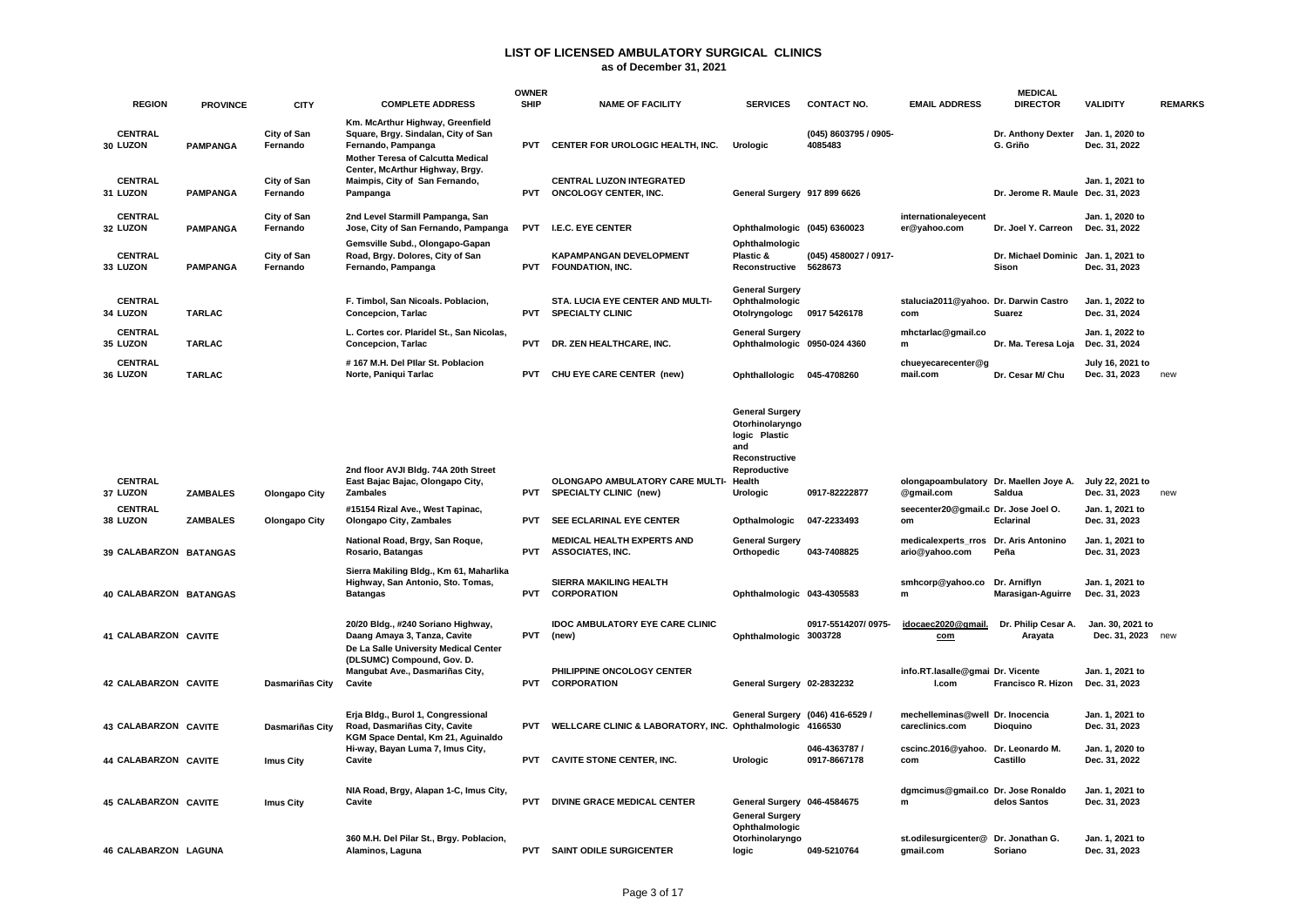|                             |                 |                         |                                                                                                                                               | <b>OWNER</b> |                                                                 |                                                                                                               |                                  |                                                                                           | <b>MEDICAL</b>                                      |                                                     |                |
|-----------------------------|-----------------|-------------------------|-----------------------------------------------------------------------------------------------------------------------------------------------|--------------|-----------------------------------------------------------------|---------------------------------------------------------------------------------------------------------------|----------------------------------|-------------------------------------------------------------------------------------------|-----------------------------------------------------|-----------------------------------------------------|----------------|
| <b>REGION</b>               | <b>PROVINCE</b> | <b>CITY</b>             | <b>COMPLETE ADDRESS</b>                                                                                                                       | <b>SHIP</b>  | <b>NAME OF FACILITY</b>                                         | <b>SERVICES</b>                                                                                               | <b>CONTACT NO.</b>               | <b>EMAIL ADDRESS</b>                                                                      | <b>DIRECTOR</b>                                     | <b>VALIDITY</b>                                     | <b>REMARKS</b> |
| <b>CENTRAL</b><br>30 LUZON  | <b>PAMPANGA</b> | City of San<br>Fernando | Km. McArthur Highway, Greenfield<br>Square, Brgy. Sindalan, City of San<br>Fernando, Pampanga<br><b>Mother Teresa of Calcutta Medical</b>     | <b>PVT</b>   | CENTER FOR UROLOGIC HEALTH, INC.                                | <b>Urologic</b>                                                                                               | (045) 8603795 / 0905-<br>4085483 |                                                                                           | Dr. Anthony Dexter<br>G. Griño                      | Jan. 1, 2020 to<br>Dec. 31, 2022                    |                |
| <b>CENTRAL</b><br>31 LUZON  | <b>PAMPANGA</b> | City of San<br>Fernando | Center, McArthur Highway, Brgy.<br>Maimpis, City of San Fernando,<br>Pampanga                                                                 | <b>PVT</b>   | <b>CENTRAL LUZON INTEGRATED</b><br><b>ONCOLOGY CENTER, INC.</b> | General Surgery 917 899 6626                                                                                  |                                  |                                                                                           | Dr. Jerome R. Maule Dec. 31, 2023                   | Jan. 1, 2021 to                                     |                |
| <b>CENTRAL</b><br>32 LUZON  | <b>PAMPANGA</b> | City of San<br>Fernando | 2nd Level Starmill Pampanga, San<br>Jose, City of San Fernando, Pampanga                                                                      |              | PVT I.E.C. EYE CENTER                                           | Ophthalmologic (045) 6360023                                                                                  |                                  | internationaleyecent<br>er@yahoo.com                                                      | Dr. Joel Y. Carreon                                 | Jan. 1, 2020 to<br>Dec. 31, 2022                    |                |
| <b>CENTRAL</b><br>33 LUZON  | <b>PAMPANGA</b> | City of San<br>Fernando | Gemsville Subd., Olongapo-Gapan<br>Road, Brgy. Dolores, City of San<br>Fernando, Pampanga                                                     | <b>PVT</b>   | <b>KAPAMPANGAN DEVELOPMENT</b><br><b>FOUNDATION, INC.</b>       | Ophthalmologic<br>Plastic &<br>Reconstructive 5628673                                                         | (045) 4580027 / 0917-            |                                                                                           | Dr. Michael Dominic Jan. 1, 2021 to<br><b>Sison</b> | Dec. 31, 2023                                       |                |
| <b>CENTRAL</b><br>34 LUZON  | <b>TARLAC</b>   |                         | F. Timbol, San Nicoals. Poblacion,<br><b>Concepcion, Tarlac</b>                                                                               | <b>PVT</b>   | STA. LUCIA EYE CENTER AND MULTI-<br><b>SPECIALTY CLINIC</b>     | <b>General Surgery</b><br>Ophthalmologic<br>Otolryngologc                                                     | 0917 5426178                     | stalucia2011@yahoo. Dr. Darwin Castro<br>com                                              | Suarez                                              | Jan. 1, 2022 to<br>Dec. 31, 2024                    |                |
| <b>CENTRAL</b><br>35 LUZON  | <b>TARLAC</b>   |                         | L. Cortes cor. Plaridel St., San Nicolas,<br>Concepcion, Tarlac                                                                               | <b>PVT</b>   | DR. ZEN HEALTHCARE, INC.                                        | <b>General Surgery</b><br>Ophthalmologic 0950-024 4360                                                        |                                  | mhctarlac@gmail.co<br>m                                                                   | Dr. Ma. Teresa Loja                                 | Jan. 1, 2022 to<br>Dec. 31, 2024                    |                |
| <b>CENTRAL</b><br>36 LUZON  | <b>TARLAC</b>   |                         | #167 M.H. Del Pllar St. Poblacion<br>Norte, Paniqui Tarlac                                                                                    | <b>PVT</b>   | CHU EYE CARE CENTER (new)                                       | Ophthallologic                                                                                                | 045-4708260                      | chueyecarecenter@g<br>mail.com                                                            | Dr. Cesar M/ Chu                                    | July 16, 2021 to<br>Dec. 31, 2023                   | new            |
| <b>CENTRAL</b>              |                 |                         | 2nd floor AVJI Bldg. 74A 20th Street<br>East Bajac Bajac, Olongapo City,                                                                      |              | OLONGAPO AMBULATORY CARE MULTI-                                 | <b>General Surgery</b><br>Otorhinolaryngo<br>logic Plastic<br>and<br>Reconstructive<br>Reproductive<br>Health |                                  | olongapoambulatory Dr. Maellen Joye A.                                                    |                                                     | July 22, 2021 to                                    |                |
| 37 LUZON                    | <b>ZAMBALES</b> | Olongapo City           | <b>Zambales</b>                                                                                                                               | <b>PVT</b>   | <b>SPECIALTY CLINIC (new)</b>                                   | Urologic                                                                                                      | 0917-82222877                    | @gmail.com                                                                                | Saldua                                              | Dec. 31, 2023                                       | new            |
| <b>CENTRAL</b><br>38 LUZON  | <b>ZAMBALES</b> | <b>Olongapo City</b>    | #15154 Rizal Ave., West Tapinac,<br><b>Olongapo City, Zambales</b>                                                                            | <b>PVT</b>   | SEE ECLARINAL EYE CENTER                                        | Opthalmologic                                                                                                 | 047-2233493                      | seecenter20@gmail.c Dr. Jose Joel O.<br>om                                                | <b>Eclarinal</b>                                    | Jan. 1, 2021 to<br>Dec. 31, 2023                    |                |
| 39 CALABARZON BATANGAS      |                 |                         | National Road, Brgy, San Roque,<br>Rosario, Batangas                                                                                          | <b>PVT</b>   | <b>MEDICAL HEALTH EXPERTS AND</b><br><b>ASSOCIATES, INC.</b>    | <b>General Surgery</b><br>Orthopedic                                                                          | 043-7408825                      | medicalexperts rros Dr. Aris Antonino<br>ario@yahoo.com                                   | Peña                                                | Jan. 1, 2021 to<br>Dec. 31, 2023                    |                |
| 40 CALABARZON BATANGAS      |                 |                         | Sierra Makiling Bldg., Km 61, Maharlika<br>Highway, San Antonio, Sto. Tomas,<br><b>Batangas</b>                                               | <b>PVT</b>   | SIERRA MAKILING HEALTH<br><b>CORPORATION</b>                    | Ophthalmologic 043-4305583                                                                                    |                                  | smhcorp@yahoo.co<br>m                                                                     | Dr. Arniflyn<br>Marasigan-Aguirre                   | Jan. 1, 2021 to<br>Dec. 31, 2023                    |                |
| 41 CALABARZON CAVITE        |                 |                         | 20/20 Bldg., #240 Soriano Highway,<br>Daang Amaya 3, Tanza, Cavite<br>De La Salle University Medical Center                                   | <b>PVT</b>   | <b>IDOC AMBULATORY EYE CARE CLINIC</b><br>(new)                 | Ophthalmologic 3003728                                                                                        | 0917-5514207/0975-               | idocaec2020@gmail.<br>com                                                                 | Dr. Philip Cesar A.<br>Arayata                      | Jan. 30, 2021 to<br>Dec. 31, 2023 new               |                |
| <b>42 CALABARZON CAVITE</b> |                 | Dasmariñas City         | (DLSUMC) Compound, Gov. D.<br>Mangubat Ave., Dasmariñas City,<br>Cavite                                                                       | <b>PVT</b>   | PHILIPPINE ONCOLOGY CENTER<br><b>CORPORATION</b>                | General Surgery 02-2832232                                                                                    |                                  | info.RT.lasalle@gmai Dr. Vicente<br>I.com                                                 | Francisco R. Hizon                                  | Jan. 1, 2021 to<br>Dec. 31, 2023                    |                |
| 43 CALABARZON CAVITE        |                 | <b>Dasmariñas City</b>  | Erja Bldg., Burol 1, Congressional<br>Road, Dasmariñas City, Cavite<br>KGM Space Dental, Km 21, Aguinaldo<br>Hi-way, Bayan Luma 7, Imus City, | PVT          | WELLCARE CLINIC & LABORATORY, INC.                              | General Surgery (046) 416-6529 /<br>Ophthalmologic 4166530                                                    | 046-4363787 /                    | mechelleminas@well Dr. Inocencia<br>careclinics.com<br>cscinc.2016@yahoo. Dr. Leonardo M. | Dioquino                                            | Jan. 1, 2021 to<br>Dec. 31, 2023<br>Jan. 1, 2020 to |                |
| 44 CALABARZON CAVITE        |                 | Imus City               | Cavite                                                                                                                                        | <b>PVT</b>   | <b>CAVITE STONE CENTER, INC.</b>                                | <b>Urologic</b>                                                                                               | 0917-8667178                     | com                                                                                       | Castillo                                            | Dec. 31, 2022                                       |                |
| <b>45 CALABARZON CAVITE</b> |                 | <b>Imus City</b>        | NIA Road, Brgy, Alapan 1-C, Imus City,<br>Cavite                                                                                              | <b>PVT</b>   | <b>DIVINE GRACE MEDICAL CENTER</b>                              | General Surgery 046-4584675<br><b>General Surgery</b><br>Ophthalmologic                                       |                                  | dgmcimus@gmail.co Dr. Jose Ronaldo<br>m                                                   | delos Santos                                        | Jan. 1, 2021 to<br>Dec. 31, 2023                    |                |
| 46 CALABARZON LAGUNA        |                 |                         | 360 M.H. Del Pilar St., Brgy. Poblacion,<br>Alaminos, Laguna                                                                                  |              | PVT SAINT ODILE SURGICENTER                                     | Otorhinolaryngo<br>logic                                                                                      | 049-5210764                      | st.odilesurgicenter@ Dr. Jonathan G.<br>gmail.com                                         | Soriano                                             | Jan. 1, 2021 to<br>Dec. 31, 2023                    |                |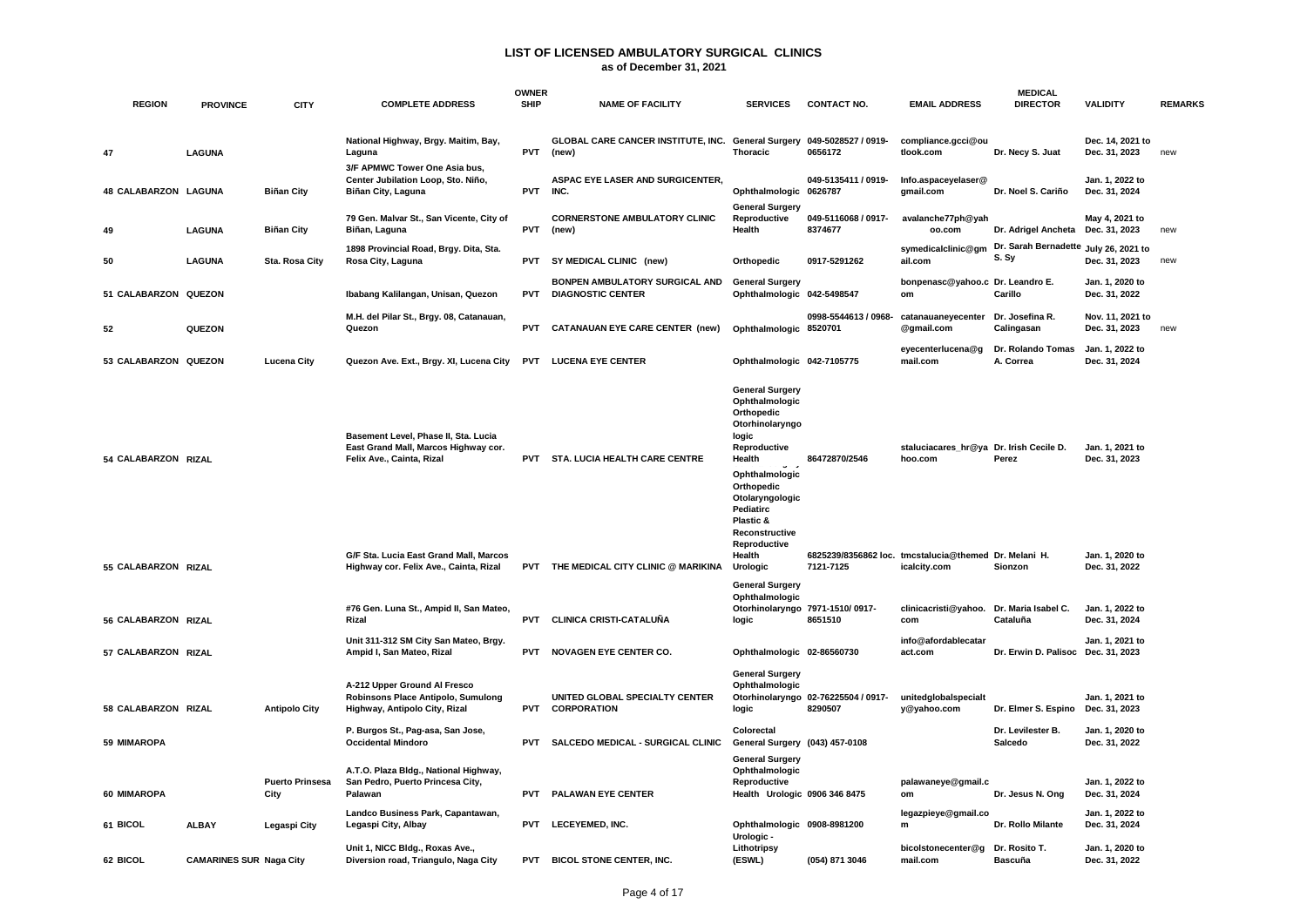**as of December 31, 2021**

| <b>REGION</b>        |                                | <b>CITY</b>                    | <b>COMPLETE ADDRESS</b>                                                                                                                             | <b>OWNER</b><br><b>SHIP</b> | <b>NAME OF FACILITY</b>                                                         | <b>SERVICES</b>                                                                                                                                                                                                                       | <b>CONTACT NO.</b>                             | <b>EMAIL ADDRESS</b>                                                                                        | <b>MEDICAL</b><br><b>DIRECTOR</b>              | <b>VALIDITY</b>                                     | <b>REMARKS</b> |
|----------------------|--------------------------------|--------------------------------|-----------------------------------------------------------------------------------------------------------------------------------------------------|-----------------------------|---------------------------------------------------------------------------------|---------------------------------------------------------------------------------------------------------------------------------------------------------------------------------------------------------------------------------------|------------------------------------------------|-------------------------------------------------------------------------------------------------------------|------------------------------------------------|-----------------------------------------------------|----------------|
|                      | <b>PROVINCE</b>                |                                |                                                                                                                                                     |                             |                                                                                 |                                                                                                                                                                                                                                       |                                                |                                                                                                             |                                                |                                                     |                |
| 47                   | <b>LAGUNA</b>                  |                                | National Highway, Brgy. Maitim, Bay,<br>Laguna                                                                                                      | <b>PVT</b>                  | GLOBAL CARE CANCER INSTITUTE, INC. General Surgery 049-5028527 / 0919-<br>(new) | <b>Thoracic</b>                                                                                                                                                                                                                       | 0656172                                        | compliance.gcci@ou<br>tlook.com                                                                             | Dr. Necy S. Juat                               | Dec. 14, 2021 to<br>Dec. 31, 2023                   | new            |
| 48 CALABARZON LAGUNA |                                | <b>Biñan City</b>              | 3/F APMWC Tower One Asia bus,<br>Center Jubilation Loop, Sto. Niño,<br>Biñan City, Laguna                                                           | <b>PVT</b>                  | ASPAC EYE LASER AND SURGICENTER.<br>INC.                                        | Ophthalmologic 0626787                                                                                                                                                                                                                | 049-5135411 / 0919-                            | Info.aspaceyelaser@<br>gmail.com                                                                            | Dr. Noel S. Cariño                             | Jan. 1. 2022 to<br>Dec. 31, 2024                    |                |
| 49                   | <b>LAGUNA</b>                  | <b>Biñan City</b>              | 79 Gen. Malvar St., San Vicente, City of<br>Biñan, Laguna                                                                                           | <b>PVT</b>                  | <b>CORNERSTONE AMBULATORY CLINIC</b><br>(new)                                   | <b>General Surgery</b><br>Reproductive<br>Health                                                                                                                                                                                      | 049-5116068 / 0917-<br>8374677                 | avalanche77ph@yah<br>oo.com                                                                                 | Dr. Adrigel Ancheta                            | May 4, 2021 to<br>Dec. 31, 2023                     | new            |
| 50                   | <b>LAGUNA</b>                  | Sta. Rosa City                 | 1898 Provincial Road, Brgy. Dita, Sta.<br>Rosa City, Laguna                                                                                         | <b>PVT</b>                  | SY MEDICAL CLINIC (new)                                                         | Orthopedic                                                                                                                                                                                                                            | 0917-5291262                                   | symedicalclinic@gm<br>ail.com                                                                               | Dr. Sarah Bernadette July 26, 2021 to<br>S. Sy | Dec. 31, 2023                                       | new            |
| 51 CALABARZON QUEZON |                                |                                | Ibabang Kalilangan, Unisan, Quezon                                                                                                                  | <b>PVT</b>                  | BONPEN AMBULATORY SURGICAL AND<br><b>DIAGNOSTIC CENTER</b>                      | <b>General Surgery</b><br>Ophthalmologic 042-5498547                                                                                                                                                                                  |                                                | bonpenasc@yahoo.c Dr. Leandro E.<br>om                                                                      | Carillo                                        | Jan. 1, 2020 to<br>Dec. 31, 2022                    |                |
| 52                   | QUEZON                         |                                | M.H. del Pilar St., Brgy. 08, Catanauan,<br>Quezon                                                                                                  | <b>PVT</b>                  | <b>CATANAUAN EYE CARE CENTER (new)</b>                                          | Ophthalmologic 8520701                                                                                                                                                                                                                | 0998-5544613 / 0968-                           | catanauaneyecenter<br>@gmail.com                                                                            | Dr. Josefina R.<br>Calingasan                  | Nov. 11, 2021 to<br>Dec. 31, 2023                   | new            |
| 53 CALABARZON QUEZON |                                | <b>Lucena City</b>             | Quezon Ave. Ext., Brgy. XI, Lucena City                                                                                                             |                             | <b>PVT LUCENA EYE CENTER</b>                                                    | Ophthalmologic 042-7105775                                                                                                                                                                                                            |                                                | eyecenterlucena@g<br>mail.com                                                                               | Dr. Rolando Tomas<br>A. Correa                 | Jan. 1, 2022 to<br>Dec. 31, 2024                    |                |
| 54 CALABARZON RIZAL  |                                |                                | Basement Level, Phase II, Sta. Lucia<br>East Grand Mall, Marcos Highway cor.<br>Felix Ave., Cainta, Rizal<br>G/F Sta. Lucia East Grand Mall, Marcos | <b>PVT</b>                  | STA. LUCIA HEALTH CARE CENTRE                                                   | <b>General Surgery</b><br>Ophthalmologic<br>Orthopedic<br>Otorhinolaryngo<br>logic<br>Reproductive<br>Health<br>Ophthalmologic<br>Orthopedic<br>Otolaryngologic<br>Pediatirc<br>Plastic &<br>Reconstructive<br>Reproductive<br>Health | 86472870/2546                                  | staluciacares_hr@ya Dr. Irish Cecile D.<br>hoo.com<br>6825239/8356862 loc. tmcstalucia@themed Dr. Melani H. | Perez                                          | Jan. 1, 2021 to<br>Dec. 31, 2023<br>Jan. 1, 2020 to |                |
| 55 CALABARZON RIZAL  |                                |                                | Highway cor. Felix Ave., Cainta, Rizal                                                                                                              |                             | PVT THE MEDICAL CITY CLINIC @ MARIKINA                                          | Urologic<br><b>General Surgery</b>                                                                                                                                                                                                    | 7121-7125                                      | icalcity.com                                                                                                | Sionzon                                        | Dec. 31, 2022                                       |                |
| 56 CALABARZON RIZAL  |                                |                                | #76 Gen. Luna St., Ampid II, San Mateo,<br>Rizal                                                                                                    | <b>PVT</b>                  | CLINICA CRISTI-CATALUÑA                                                         | Ophthalmologic<br>logic                                                                                                                                                                                                               | Otorhinolaryngo 7971-1510/0917-<br>8651510     | clinicacristi@yahoo.<br>com                                                                                 | Dr. Maria Isabel C.<br>Cataluña                | Jan. 1, 2022 to<br>Dec. 31, 2024                    |                |
| 57 CALABARZON RIZAL  |                                |                                | Unit 311-312 SM City San Mateo, Brgy.<br>Ampid I, San Mateo, Rizal                                                                                  | <b>PVT</b>                  | <b>NOVAGEN EYE CENTER CO.</b>                                                   | Ophthalmologic 02-86560730                                                                                                                                                                                                            |                                                | info@afordablecatar<br>act.com                                                                              | Dr. Erwin D. Palisoc Dec. 31, 2023             | Jan. 1, 2021 to                                     |                |
| 58 CALABARZON RIZAL  |                                | <b>Antipolo City</b>           | A-212 Upper Ground Al Fresco<br>Robinsons Place Antipolo, Sumulong<br>Highway, Antipolo City, Rizal                                                 | <b>PVT</b>                  | UNITED GLOBAL SPECIALTY CENTER<br><b>CORPORATION</b>                            | <b>General Surgery</b><br>Ophthalmologic<br>logic                                                                                                                                                                                     | Otorhinolaryngo 02-76225504 / 0917-<br>8290507 | unitedglobalspecialt<br>y@yahoo.com                                                                         | Dr. Elmer S. Espino                            | Jan. 1, 2021 to<br>Dec. 31, 2023                    |                |
| 59 MIMAROPA          |                                |                                | P. Burgos St., Pag-asa, San Jose,<br><b>Occidental Mindoro</b>                                                                                      | <b>PVT</b>                  | SALCEDO MEDICAL - SURGICAL CLINIC                                               | Colorectal<br>General Surgery (043) 457-0108                                                                                                                                                                                          |                                                |                                                                                                             | Dr. Levilester B.<br>Salcedo                   | Jan. 1, 2020 to<br>Dec. 31, 2022                    |                |
| 60 MIMAROPA          |                                | <b>Puerto Prinsesa</b><br>City | A.T.O. Plaza Bldg., National Highway,<br>San Pedro, Puerto Princesa City,<br>Palawan                                                                | <b>PVT</b>                  | PALAWAN EYE CENTER                                                              | <b>General Surgery</b><br>Ophthalmologic<br>Reproductive<br>Health Urologic 0906 346 8475                                                                                                                                             |                                                | palawaneye@gmail.c<br>om                                                                                    | Dr. Jesus N. Ong                               | Jan. 1, 2022 to<br>Dec. 31, 2024                    |                |
| 61 BICOL             | <b>ALBAY</b>                   | Legaspi City                   | Landco Business Park, Capantawan,<br>Legaspi City, Albay                                                                                            | <b>PVT</b>                  | <b>LECEYEMED. INC.</b>                                                          | Ophthalmologic 0908-8981200<br>Urologic -                                                                                                                                                                                             |                                                | legazpieye@gmail.co<br>m                                                                                    | Dr. Rollo Milante                              | Jan. 1, 2022 to<br>Dec. 31, 2024                    |                |
| 62 BICOL             | <b>CAMARINES SUR Naga City</b> |                                | Unit 1, NICC Bldg., Roxas Ave.,<br>Diversion road, Triangulo, Naga City                                                                             | <b>PVT</b>                  | <b>BICOL STONE CENTER, INC.</b>                                                 | Lithotripsy<br>(ESWL)                                                                                                                                                                                                                 | (054) 871 3046                                 | bicolstonecenter@g<br>mail.com                                                                              | Dr. Rosito T.<br><b>Bascuña</b>                | Jan. 1, 2020 to<br>Dec. 31, 2022                    |                |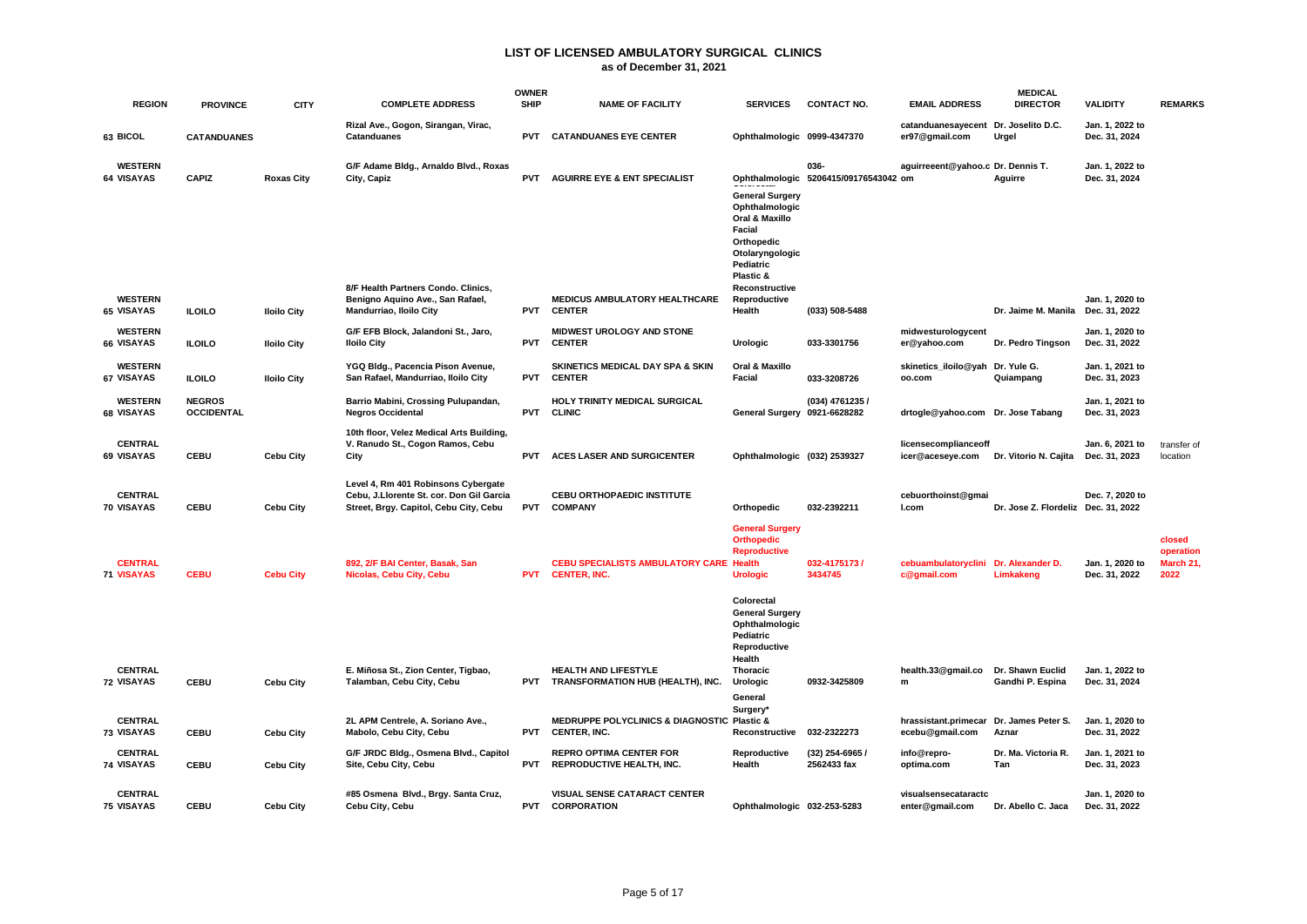|                                     |                                    |                    |                                                                                                                           | <b>OWNER</b> |                                                                       |                                                                                                                                 |                                               |                                            | <b>MEDICAL</b>                       |                                  |                                          |
|-------------------------------------|------------------------------------|--------------------|---------------------------------------------------------------------------------------------------------------------------|--------------|-----------------------------------------------------------------------|---------------------------------------------------------------------------------------------------------------------------------|-----------------------------------------------|--------------------------------------------|--------------------------------------|----------------------------------|------------------------------------------|
| <b>REGION</b>                       | <b>PROVINCE</b>                    | <b>CITY</b>        | <b>COMPLETE ADDRESS</b>                                                                                                   | <b>SHIP</b>  | <b>NAME OF FACILITY</b>                                               | <b>SERVICES</b>                                                                                                                 | <b>CONTACT NO.</b>                            | <b>EMAIL ADDRESS</b>                       | <b>DIRECTOR</b>                      | <b>VALIDITY</b>                  | <b>REMARKS</b>                           |
| 63 BICOL                            | <b>CATANDUANES</b>                 |                    | Rizal Ave., Gogon, Sirangan, Virac,<br><b>Catanduanes</b>                                                                 | <b>PVT</b>   | <b>CATANDUANES EYE CENTER</b>                                         | Ophthalmologic 0999-4347370                                                                                                     |                                               | catanduanesayecent<br>er97@gmail.com       | Dr. Joselito D.C.<br>Urgel           | Jan. 1, 2022 to<br>Dec. 31, 2024 |                                          |
| <b>WESTERN</b><br>64 VISAYAS        | <b>CAPIZ</b>                       | <b>Roxas City</b>  | G/F Adame Bldg., Arnaldo Blvd., Roxas<br>City, Capiz                                                                      | <b>PVT</b>   | <b>AGUIRRE EYE &amp; ENT SPECIALIST</b>                               | <b>General Surgery</b><br>Ophthalmologic<br>Oral & Maxillo<br>Facial<br>Orthopedic<br>Otolaryngologic<br>Pediatric<br>Plastic & | 036-<br>Ophthalmologic 5206415/09176543042 om | aguirreeent@yahoo.c Dr. Dennis T.          | Aguirre                              | Jan. 1, 2022 to<br>Dec. 31, 2024 |                                          |
| <b>WESTERN</b><br>65 VISAYAS        | <b>ILOILO</b>                      | <b>Iloilo City</b> | 8/F Health Partners Condo. Clinics,<br>Benigno Aquino Ave., San Rafael,<br>Mandurriao, Iloilo City                        | <b>PVT</b>   | <b>MEDICUS AMBULATORY HEALTHCARE</b><br><b>CENTER</b>                 | Reconstructive<br>Reproductive<br>Health                                                                                        | (033) 508-5488                                |                                            | Dr. Jaime M. Manila                  | Jan. 1. 2020 to<br>Dec. 31, 2022 |                                          |
| <b>WESTERN</b><br>66 VISAYAS        | <b>ILOILO</b>                      | <b>Iloilo City</b> | G/F EFB Block, Jalandoni St., Jaro,<br><b>Iloilo City</b>                                                                 | <b>PVT</b>   | MIDWEST UROLOGY AND STONE<br><b>CENTER</b>                            | Urologic                                                                                                                        | 033-3301756                                   | midwesturologycent<br>er@yahoo.com         | Dr. Pedro Tingson                    | Jan. 1, 2020 to<br>Dec. 31, 2022 |                                          |
| <b>WESTERN</b><br>67 VISAYAS        | <b>ILOILO</b>                      | <b>Iloilo City</b> | YGQ Bldg., Pacencia Pison Avenue,<br>San Rafael, Mandurriao, Iloilo City                                                  | <b>PVT</b>   | SKINETICS MEDICAL DAY SPA & SKIN<br><b>CENTER</b>                     | Oral & Maxillo<br>Facial                                                                                                        | 033-3208726                                   | skinetics iloilo@yah Dr. Yule G.<br>oo.com | Quiampang                            | Jan. 1, 2021 to<br>Dec. 31, 2023 |                                          |
| <b>WESTERN</b><br>68 VISAYAS        | <b>NEGROS</b><br><b>OCCIDENTAL</b> |                    | Barrio Mabini, Crossing Pulupandan,<br><b>Negros Occidental</b>                                                           | <b>PVT</b>   | HOLY TRINITY MEDICAL SURGICAL<br><b>CLINIC</b>                        | General Surgery 0921-6628282                                                                                                    | (034) 4761235 /                               | drtogle@yahoo.com Dr. Jose Tabang          |                                      | Jan. 1. 2021 to<br>Dec. 31, 2023 |                                          |
| <b>CENTRAL</b><br>69 VISAYAS        | <b>CEBU</b>                        | <b>Cebu City</b>   | 10th floor, Velez Medical Arts Building,<br>V. Ranudo St., Cogon Ramos, Cebu<br>City                                      | <b>PVT</b>   | <b>ACES LASER AND SURGICENTER</b>                                     | Ophthalmologic (032) 2539327                                                                                                    |                                               | licensecomplianceoff<br>icer@aceseye.com   | Dr. Vitorio N. Cajita                | Jan. 6. 2021 to<br>Dec. 31, 2023 | transfer of<br>location                  |
| <b>CENTRAL</b><br>70 VISAYAS        | <b>CEBU</b>                        | Cebu City          | Level 4, Rm 401 Robinsons Cybergate<br>Cebu, J.Llorente St. cor. Don Gil Garcia<br>Street, Brgy. Capitol, Cebu City, Cebu | <b>PVT</b>   | CEBU ORTHOPAEDIC INSTITUTE<br><b>COMPANY</b>                          | Orthopedic                                                                                                                      | 032-2392211                                   | cebuorthoinst@gmai<br>I.com                | Dr. Jose Z. Flordeliz Dec. 31, 2022  | Dec. 7. 2020 to                  |                                          |
| <b>CENTRAL</b><br>71 VISAYAS        | <b>CEBU</b>                        | <b>Cebu City</b>   | 892, 2/F BAI Center, Basak, San<br>Nicolas, Cebu City, Cebu                                                               | <b>PVT</b>   | <b>CEBU SPECIALISTS AMBULATORY CARE Health</b><br><b>CENTER, INC.</b> | <b>General Surgery</b><br><b>Orthopedic</b><br><b>Reproductive</b><br><b>Urologic</b>                                           | 032-4175173 /<br>3434745                      | cebuambulatoryclini<br>c@gmail.com         | Dr. Alexander D.<br>Limkakeng        | Jan. 1, 2020 to<br>Dec. 31, 2022 | closed<br>operation<br>March 21,<br>2022 |
|                                     |                                    |                    |                                                                                                                           |              |                                                                       | Colorectal<br><b>General Surgery</b><br>Ophthalmologic<br>Pediatric<br>Reproductive<br>Health                                   |                                               |                                            |                                      |                                  |                                          |
| <b>CENTRAL</b><br><b>72 VISAYAS</b> | <b>CEBU</b>                        | <b>Cebu City</b>   | E. Miñosa St., Zion Center, Tigbao,<br>Talamban, Cebu City, Cebu                                                          |              | <b>HEALTH AND LIFESTYLE</b><br>PVT TRANSFORMATION HUB (HEALTH), INC.  | Thoracic<br>Urologic<br>General                                                                                                 | 0932-3425809                                  | health.33@gmail.co<br>m                    | Dr. Shawn Euclid<br>Gandhi P. Espina | Jan. 1, 2022 to<br>Dec. 31, 2024 |                                          |
| <b>CENTRAL</b><br>73 VISAYAS        | <b>CEBU</b>                        | <b>Cebu City</b>   | 2L APM Centrele, A. Soriano Ave.,<br>Mabolo, Cebu City, Cebu                                                              |              | MEDRUPPE POLYCLINICS & DIAGNOSTIC Plastic &<br>PVT CENTER, INC.       | Surgery*<br>Reconstructive                                                                                                      | 032-2322273                                   | hrassistant.primecar<br>ecebu@gmail.com    | Dr. James Peter S.<br>Aznar          | Jan. 1, 2020 to<br>Dec. 31, 2022 |                                          |
| <b>CENTRAL</b><br>74 VISAYAS        | <b>CEBU</b>                        | <b>Cebu City</b>   | G/F JRDC Bldg., Osmena Blvd., Capitol<br>Site, Cebu City, Cebu                                                            | <b>PVT</b>   | <b>REPRO OPTIMA CENTER FOR</b><br>REPRODUCTIVE HEALTH, INC.           | Reproductive<br>Health                                                                                                          | (32) 254-6965 /<br>2562433 fax                | info@repro-<br>optima.com                  | Dr. Ma. Victoria R.<br>Tan           | Jan. 1, 2021 to<br>Dec. 31, 2023 |                                          |
| <b>CENTRAL</b><br>75 VISAYAS        | <b>CEBU</b>                        | Cebu City          | #85 Osmena Blvd., Brgy. Santa Cruz,<br>Cebu City, Cebu                                                                    | <b>PVT</b>   | VISUAL SENSE CATARACT CENTER<br><b>CORPORATION</b>                    | Ophthalmologic 032-253-5283                                                                                                     |                                               | visualsensecataractc<br>enter@gmail.com    | Dr. Abello C. Jaca                   | Jan. 1, 2020 to<br>Dec. 31, 2022 |                                          |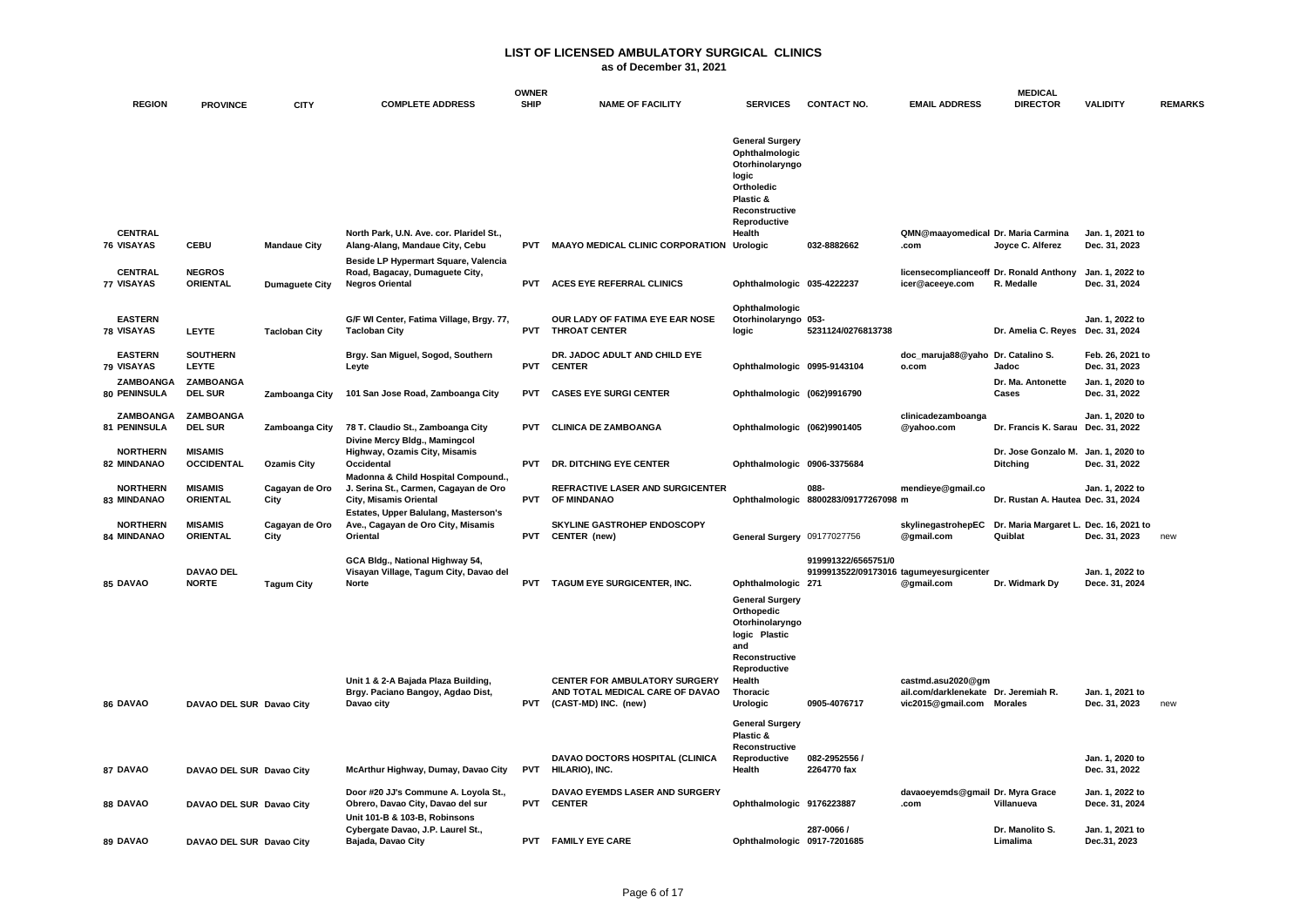|                                  |                                     |                        |                                                                                                            | <b>OWNER</b> |                                                                                                 |                                                                                                                                             |                                                                |                                                                                        | <b>MEDICAL</b>                                    |                                   |                |
|----------------------------------|-------------------------------------|------------------------|------------------------------------------------------------------------------------------------------------|--------------|-------------------------------------------------------------------------------------------------|---------------------------------------------------------------------------------------------------------------------------------------------|----------------------------------------------------------------|----------------------------------------------------------------------------------------|---------------------------------------------------|-----------------------------------|----------------|
| <b>REGION</b>                    | <b>PROVINCE</b>                     | <b>CITY</b>            | <b>COMPLETE ADDRESS</b>                                                                                    | <b>SHIP</b>  | <b>NAME OF FACILITY</b>                                                                         | <b>SERVICES</b>                                                                                                                             | <b>CONTACT NO.</b>                                             | <b>EMAIL ADDRESS</b>                                                                   | <b>DIRECTOR</b>                                   | <b>VALIDITY</b>                   | <b>REMARKS</b> |
| <b>CENTRAL</b>                   |                                     |                        | North Park, U.N. Ave. cor. Plaridel St.,                                                                   |              |                                                                                                 | <b>General Surgery</b><br>Ophthalmologic<br>Otorhinolaryngo<br>logic<br>Ortholedic<br>Plastic &<br>Reconstructive<br>Reproductive<br>Health |                                                                | QMN@maayomedical Dr. Maria Carmina                                                     |                                                   | Jan. 1, 2021 to                   |                |
| 76 VISAYAS                       | <b>CEBU</b>                         | <b>Mandaue City</b>    | Alang-Alang, Mandaue City, Cebu                                                                            | <b>PVT</b>   | MAAYO MEDICAL CLINIC CORPORATION Urologic                                                       |                                                                                                                                             | 032-8882662                                                    | .com                                                                                   | Joyce C. Alferez                                  | Dec. 31, 2023                     |                |
| <b>CENTRAL</b><br>77 VISAYAS     | <b>NEGROS</b><br><b>ORIENTAL</b>    | <b>Dumaguete City</b>  | Beside LP Hypermart Square, Valencia<br>Road, Bagacay, Dumaguete City,<br><b>Negros Oriental</b>           | <b>PVT</b>   | ACES EYE REFERRAL CLINICS                                                                       | Ophthalmologic 035-4222237                                                                                                                  |                                                                | licensecomplianceoff Dr. Ronald Anthony<br>icer@aceeye.com                             | R. Medalle                                        | Jan. 1, 2022 to<br>Dec. 31, 2024  |                |
| <b>EASTERN</b><br>78 VISAYAS     | <b>LEYTE</b>                        | <b>Tacloban City</b>   | G/F WI Center, Fatima Village, Brgy. 77,<br><b>Tacloban City</b>                                           | <b>PVT</b>   | OUR LADY OF FATIMA EYE EAR NOSE<br><b>THROAT CENTER</b>                                         | Ophthalmologic<br>Otorhinolaryngo 053-<br>logic                                                                                             | 5231124/0276813738                                             |                                                                                        | Dr. Amelia C. Reyes Dec. 31, 2024                 | Jan. 1, 2022 to                   |                |
| <b>EASTERN</b><br>79 VISAYAS     | <b>SOUTHERN</b><br>LEYTE            |                        | Brgy. San Miguel, Sogod, Southern<br>Leyte                                                                 | <b>PVT</b>   | DR. JADOC ADULT AND CHILD EYE<br><b>CENTER</b>                                                  | Ophthalmologic 0995-9143104                                                                                                                 |                                                                | doc_maruja88@yaho<br>o.com                                                             | Dr. Catalino S.<br>Jadoc                          | Feb. 26, 2021 to<br>Dec. 31, 2023 |                |
| ZAMBOANGA<br>80 PENINSULA        | ZAMBOANGA<br><b>DEL SUR</b>         | Zamboanga City         | 101 San Jose Road, Zamboanga City                                                                          | <b>PVT</b>   | <b>CASES EYE SURGI CENTER</b>                                                                   | Ophthalmologic (062)9916790                                                                                                                 |                                                                |                                                                                        | Dr. Ma. Antonette<br>Cases                        | Jan. 1, 2020 to<br>Dec. 31, 2022  |                |
| <b>ZAMBOANGA</b><br>81 PENINSULA | <b>ZAMBOANGA</b><br><b>DEL SUR</b>  | Zamboanga City         | 78 T. Claudio St., Zamboanga City<br>Divine Mercy Bldg., Mamingcol                                         | <b>PVT</b>   | <b>CLINICA DE ZAMBOANGA</b>                                                                     | Ophthalmologic (062)9901405                                                                                                                 |                                                                | clinicadezamboanga<br>@yahoo.com                                                       | Dr. Francis K. Sarau Dec. 31, 2022                | Jan. 1. 2020 to                   |                |
| <b>NORTHERN</b><br>82 MINDANAO   | <b>MISAMIS</b><br><b>OCCIDENTAL</b> | <b>Ozamis City</b>     | Highway, Ozamis City, Misamis<br>Occidental                                                                | <b>PVT</b>   | DR. DITCHING EYE CENTER                                                                         | Ophthalmologic 0906-3375684                                                                                                                 |                                                                |                                                                                        | Dr. Jose Gonzalo M.<br><b>Ditching</b>            | Jan. 1, 2020 to<br>Dec. 31, 2022  |                |
| <b>NORTHERN</b><br>83 MINDANAO   | <b>MISAMIS</b><br><b>ORIENTAL</b>   | Cagayan de Oro<br>City | Madonna & Child Hospital Compound.,<br>J. Serina St., Carmen, Cagayan de Oro<br>City, Misamis Oriental     | <b>PVT</b>   | REFRACTIVE LASER AND SURGICENTER<br>OF MINDANAO                                                 |                                                                                                                                             | 088-<br>Ophthalmologic 8800283/09177267098 m                   | mendieye@gmail.co                                                                      | Dr. Rustan A. Hautea Dec. 31, 2024                | Jan. 1, 2022 to                   |                |
| <b>NORTHERN</b><br>84 MINDANAO   | <b>MISAMIS</b><br><b>ORIENTAL</b>   | Cagayan de Oro<br>City | Estates, Upper Balulang, Masterson's<br>Ave., Cagayan de Oro City, Misamis<br>Oriental                     | <b>PVT</b>   | <b>SKYLINE GASTROHEP ENDOSCOPY</b><br>CENTER (new)                                              | General Surgery 09177027756                                                                                                                 |                                                                | skylinegastrohepEC<br>@gmail.com                                                       | Dr. Maria Margaret L. Dec. 16, 2021 to<br>Quiblat | Dec. 31, 2023                     | new            |
| 85 DAVAO                         | <b>DAVAO DEL</b><br><b>NORTE</b>    | <b>Tagum City</b>      | GCA Bldg., National Highway 54,<br>Visayan Village, Tagum City, Davao del<br><b>Norte</b>                  | <b>PVT</b>   | TAGUM EYE SURGICENTER, INC.                                                                     | Ophthalmologic 271<br><b>General Surgery</b><br>Orthopedic<br>Otorhinolaryngo<br>logic Plastic<br>and<br>Reconstructive                     | 919991322/6565751/0<br>9199913522/09173016 tagumeyesurgicenter | @gmail.com                                                                             | Dr. Widmark Dy                                    | Jan. 1, 2022 to<br>Dece. 31, 2024 |                |
| 86 DAVAO                         | DAVAO DEL SUR Davao City            |                        | Unit 1 & 2-A Bajada Plaza Building,<br>Brgy. Paciano Bangoy, Agdao Dist,<br>Davao city                     | <b>PVT</b>   | <b>CENTER FOR AMBULATORY SURGERY</b><br>AND TOTAL MEDICAL CARE OF DAVAO<br>(CAST-MD) INC. (new) | Reproductive<br>Health<br>Thoracic<br>Urologic                                                                                              | 0905-4076717                                                   | castmd.asu2020@gm<br>ail.com/darklenekate Dr. Jeremiah R.<br>vic2015@gmail.com Morales |                                                   | Jan. 1, 2021 to<br>Dec. 31, 2023  | new            |
| 87 DAVAO                         | DAVAO DEL SUR Davao City            |                        | McArthur Highway, Dumay, Davao City                                                                        | <b>PVT</b>   | DAVAO DOCTORS HOSPITAL (CLINICA<br>HILARIO), INC.                                               | <b>General Surgery</b><br>Plastic &<br>Reconstructive<br>Reproductive<br>Health                                                             | 082-2952556 /<br>2264770 fax                                   |                                                                                        |                                                   | Jan. 1, 2020 to<br>Dec. 31, 2022  |                |
| 88 DAVAO                         | DAVAO DEL SUR Davao City            |                        | Door #20 JJ's Commune A. Loyola St.,<br>Obrero, Davao City, Davao del sur<br>Unit 101-B & 103-B, Robinsons | PVT          | DAVAO EYEMDS LASER AND SURGERY<br><b>CENTER</b>                                                 | Ophthalmologic 9176223887                                                                                                                   |                                                                | davaoeyemds@gmail Dr. Myra Grace<br>.com                                               | Villanueva                                        | Jan. 1, 2022 to<br>Dece. 31, 2024 |                |
| 89 DAVAO                         | DAVAO DEL SUR Davao City            |                        | Cybergate Davao, J.P. Laurel St.,<br>Bajada, Davao City                                                    |              | PVT FAMILY EYE CARE                                                                             | Ophthalmologic 0917-7201685                                                                                                                 | 287-0066 /                                                     |                                                                                        | Dr. Manolito S.<br>Limalima                       | Jan. 1, 2021 to<br>Dec.31, 2023   |                |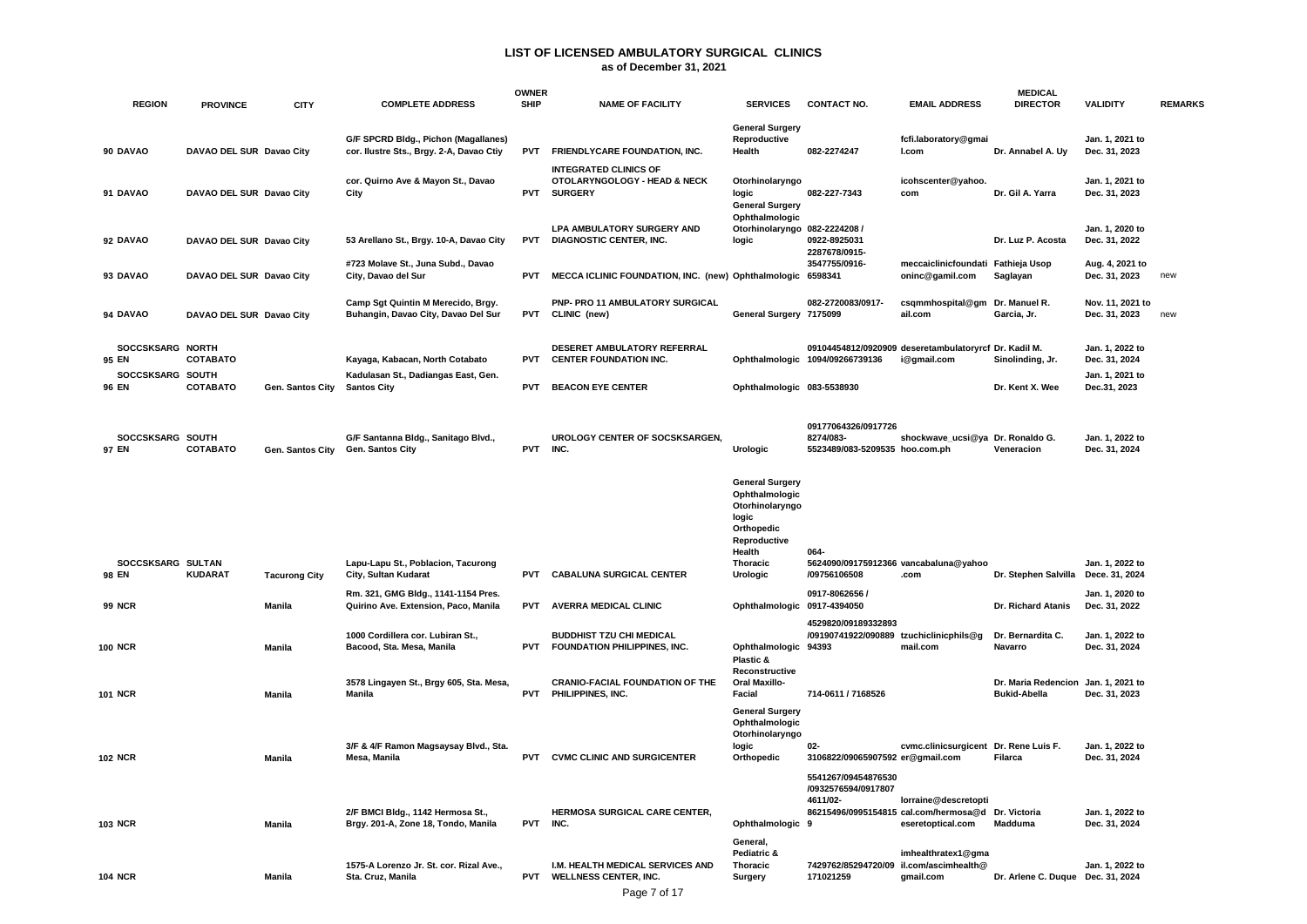| <b>REGION</b>              | <b>PROVINCE</b>          | <b>CITY</b>          | <b>COMPLETE ADDRESS</b>                                                          | <b>OWNER</b><br><b>SHIP</b> | <b>NAME OF FACILITY</b>                                                          | <b>SERVICES</b>                                                                                                                             | <b>CONTACT NO.</b>                                                 | <b>EMAIL ADDRESS</b>                                                                            | <b>MEDICAL</b><br><b>DIRECTOR</b>                          | <b>VALIDITY</b>                   | <b>REMARKS</b> |
|----------------------------|--------------------------|----------------------|----------------------------------------------------------------------------------|-----------------------------|----------------------------------------------------------------------------------|---------------------------------------------------------------------------------------------------------------------------------------------|--------------------------------------------------------------------|-------------------------------------------------------------------------------------------------|------------------------------------------------------------|-----------------------------------|----------------|
| 90 DAVAO                   | DAVAO DEL SUR Davao City |                      | G/F SPCRD Bldg., Pichon (Magallanes)<br>cor. Ilustre Sts., Brgy. 2-A, Davao Ctiy | PVT                         | FRIENDLYCARE FOUNDATION, INC.                                                    | <b>General Surgery</b><br>Reproductive<br>Health                                                                                            | 082-2274247                                                        | fcfi.laboratory@gmai<br>I.com                                                                   | Dr. Annabel A. Uy                                          | Jan. 1, 2021 to<br>Dec. 31, 2023  |                |
| 91 DAVAO                   | DAVAO DEL SUR Davao City |                      | cor. Quirno Ave & Mayon St., Davao<br>City                                       | <b>PVT</b>                  | <b>INTEGRATED CLINICS OF</b><br>OTOLARYNGOLOGY - HEAD & NECK<br><b>SURGERY</b>   | Otorhinolaryngo<br>logic<br><b>General Surgery</b>                                                                                          | 082-227-7343                                                       | icohscenter@yahoo.<br>com                                                                       | Dr. Gil A. Yarra                                           | Jan. 1, 2021 to<br>Dec. 31, 2023  |                |
| 92 DAVAO                   | DAVAO DEL SUR Davao City |                      | 53 Arellano St., Brgy. 10-A, Davao City                                          | <b>PVT</b>                  | <b>LPA AMBULATORY SURGERY AND</b><br><b>DIAGNOSTIC CENTER, INC.</b>              | Ophthalmologic<br>Otorhinolaryngo 082-2224208 /<br>logic                                                                                    | 0922-8925031<br>2287678/0915-                                      |                                                                                                 | Dr. Luz P. Acosta                                          | Jan. 1, 2020 to<br>Dec. 31, 2022  |                |
| 93 DAVAO                   | DAVAO DEL SUR Davao City |                      | #723 Molave St., Juna Subd., Davao<br>City, Davao del Sur                        | <b>PVT</b>                  | MECCA ICLINIC FOUNDATION, INC. (new) Ophthalmologic 6598341                      |                                                                                                                                             | 3547755/0916-                                                      | meccaiclinicfoundati Fathieja Usop<br>oninc@gamil.com                                           | Saglayan                                                   | Aug. 4, 2021 to<br>Dec. 31, 2023  | new            |
| 94 DAVAO                   | DAVAO DEL SUR Davao City |                      | Camp Sgt Quintin M Merecido, Brgy.<br>Buhangin, Davao City, Davao Del Sur        | PVT                         | PNP- PRO 11 AMBULATORY SURGICAL<br>CLINIC (new)                                  | General Surgery 7175099                                                                                                                     | 082-2720083/0917-                                                  | csqmmhospital@gm Dr. Manuel R.<br>ail.com                                                       | Garcia, Jr.                                                | Nov. 11, 2021 to<br>Dec. 31, 2023 | new            |
| SOCCSKSARG NORTH<br>95 EN  | COTABATO                 |                      | Kayaga, Kabacan, North Cotabato                                                  | <b>PVT</b>                  | DESERET AMBULATORY REFERRAL<br><b>CENTER FOUNDATION INC.</b>                     |                                                                                                                                             | Ophthalmologic 1094/09266739136                                    | 09104454812/0920909 deseretambulatoryrcf Dr. Kadil M.<br>i@gmail.com                            | Sinolinding, Jr.                                           | Jan. 1, 2022 to<br>Dec. 31, 2024  |                |
| SOCCSKSARG SOUTH<br>96 EN  | COTABATO                 | Gen. Santos City     | Kadulasan St., Dadiangas East, Gen.<br><b>Santos City</b>                        | <b>PVT</b>                  | <b>BEACON EYE CENTER</b>                                                         | Ophthalmologic 083-5538930                                                                                                                  |                                                                    |                                                                                                 | Dr. Kent X. Wee                                            | Jan. 1, 2021 to<br>Dec.31, 2023   |                |
| SOCCSKSARG SOUTH<br>97 EN  | COTABATO                 | Gen. Santos City     | G/F Santanna Bldg., Sanitago Blvd.,<br>Gen. Santos City                          | <b>PVT</b>                  | UROLOGY CENTER OF SOCSKSARGEN,<br>INC.                                           | Urologic                                                                                                                                    | 09177064326/0917726<br>8274/083-<br>5523489/083-5209535 hoo.com.ph | shockwave ucsi@ya Dr. Ronaldo G.                                                                | Veneracion                                                 | Jan. 1, 2022 to<br>Dec. 31, 2024  |                |
| SOCCSKSARG SULTAN<br>98 EN | <b>KUDARAT</b>           | <b>Tacurong City</b> | Lapu-Lapu St., Poblacion, Tacurong<br>City, Sultan Kudarat                       | <b>PVT</b>                  | <b>CABALUNA SURGICAL CENTER</b>                                                  | <b>General Surgery</b><br>Ophthalmologic<br>Otorhinolaryngo<br>logic<br><b>Orthopedic</b><br>Reproductive<br>Health<br>Thoracic<br>Urologic | 064-<br>5624090/09175912366 vancabaluna@yahoo<br>/09756106508      | .com                                                                                            | Dr. Stephen Salvilla Dece. 31, 2024                        | Jan. 1, 2022 to                   |                |
| <b>99 NCR</b>              |                          | Manila               | Rm. 321, GMG Bldg., 1141-1154 Pres.<br>Quirino Ave. Extension, Paco, Manila      | <b>PVT</b>                  | <b>AVERRA MEDICAL CLINIC</b>                                                     | Ophthalmologic 0917-4394050                                                                                                                 | 0917-8062656 /                                                     |                                                                                                 | Dr. Richard Atanis                                         | Jan. 1, 2020 to<br>Dec. 31, 2022  |                |
| <b>100 NCR</b>             |                          | Manila               | 1000 Cordillera cor. Lubiran St.,<br>Bacood, Sta. Mesa, Manila                   | <b>PVT</b>                  | <b>BUDDHIST TZU CHI MEDICAL</b><br>FOUNDATION PHILIPPINES, INC.                  | Ophthalmologic 94393<br>Plastic &<br>Reconstructive                                                                                         | 4529820/09189332893<br>/09190741922/090889 tzuchiclinicphils@g     | mail.com                                                                                        | Dr. Bernardita C.<br>Navarro                               | Jan. 1, 2022 to<br>Dec. 31, 2024  |                |
| <b>101 NCR</b>             |                          | Manila               | 3578 Lingayen St., Brgy 605, Sta. Mesa,<br>Manila                                | PVT                         | <b>CRANIO-FACIAL FOUNDATION OF THE</b><br>PHILIPPINES, INC.                      | <b>Oral Maxillo-</b><br>Facial                                                                                                              | 714-0611 / 7168526                                                 |                                                                                                 | Dr. Maria Redencion Jan. 1, 2021 to<br><b>Bukid-Abella</b> | Dec. 31, 2023                     |                |
| <b>102 NCR</b>             |                          | Manila               | 3/F & 4/F Ramon Magsaysay Blvd., Sta.<br>Mesa, Manila                            | <b>PVT</b>                  | <b>CVMC CLINIC AND SURGICENTER</b>                                               | <b>General Surgery</b><br>Ophthalmologic<br>Otorhinolaryngo<br>logic<br>Orthopedic                                                          | 02-<br>3106822/09065907592 er@gmail.com                            | cvmc.clinicsurgicent                                                                            | Dr. Rene Luis F.<br>Filarca                                | Jan. 1, 2022 to<br>Dec. 31, 2024  |                |
| <b>103 NCR</b>             |                          | Manila               | 2/F BMCI Bldg., 1142 Hermosa St.,<br>Brgy. 201-A, Zone 18, Tondo, Manila         | PVT INC.                    | HERMOSA SURGICAL CARE CENTER,                                                    | Ophthalmologic 9<br>General,                                                                                                                | 5541267/09454876530<br>/0932576594/0917807<br>4611/02-             | lorraine@descretopti<br>86215496/0995154815 cal.com/hermosa@d Dr. Victoria<br>eseretoptical.com | Madduma                                                    | Jan. 1, 2022 to<br>Dec. 31, 2024  |                |
| <b>104 NCR</b>             |                          | Manila               | 1575-A Lorenzo Jr. St. cor. Rizal Ave.,<br>Sta. Cruz, Manila                     | <b>PVT</b>                  | I.M. HEALTH MEDICAL SERVICES AND<br><b>WELLNESS CENTER, INC.</b><br>Page 7 of 17 | Pediatric &<br><b>Thoracic</b><br>Surgery                                                                                                   | 7429762/85294720/09<br>171021259                                   | imhealthratex1@gma<br>il.com/ascimhealth@<br>gmail.com                                          | Dr. Arlene C. Duque Dec. 31, 2024                          | Jan. 1, 2022 to                   |                |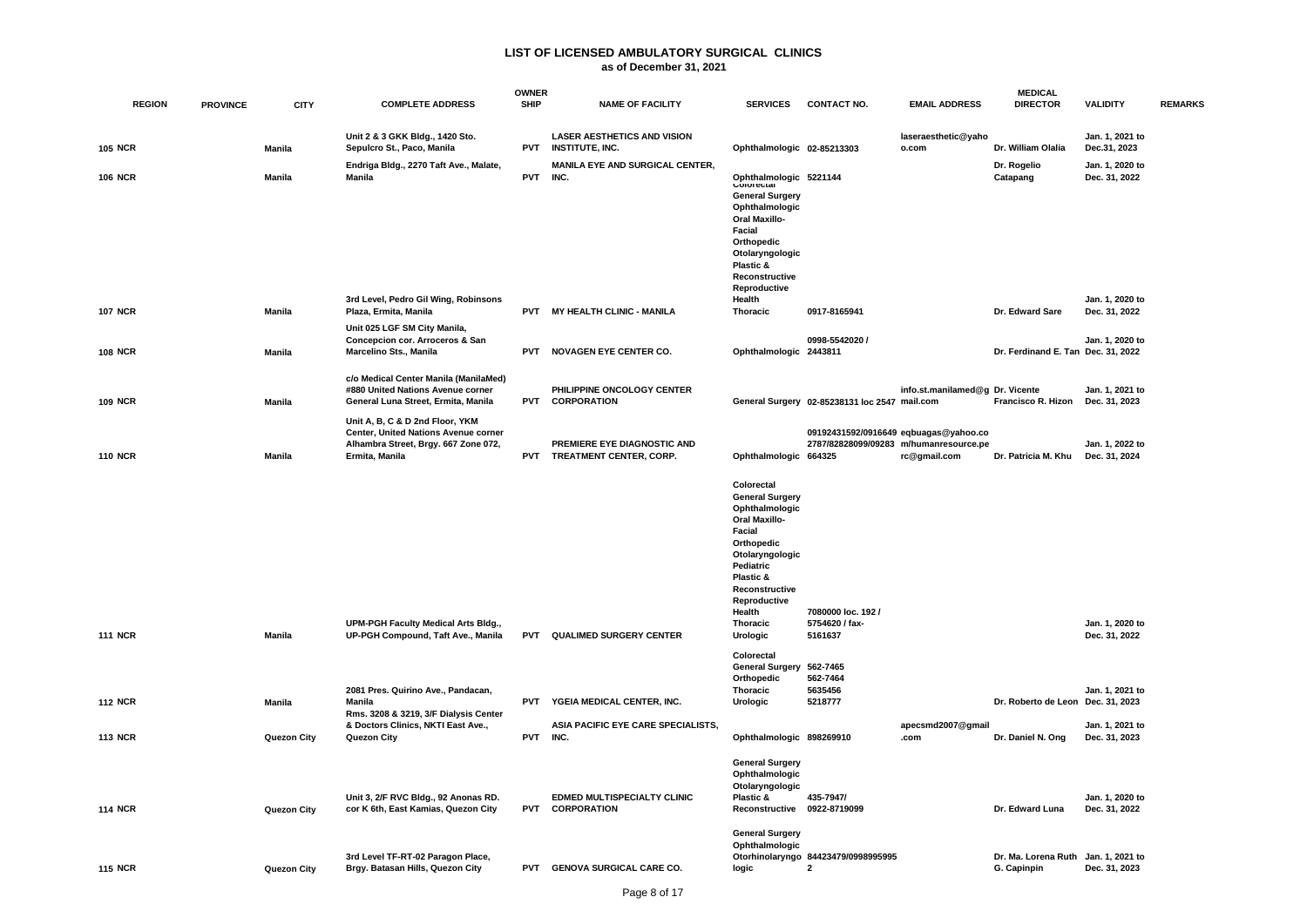| <b>REGION</b>  | <b>PROVINCE</b> | <b>CITY</b>   | <b>COMPLETE ADDRESS</b>                                                                                                           | <b>OWNER</b><br><b>SHIP</b> | <b>NAME OF FACILITY</b>                                      | <b>SERVICES</b>                                                                                                                                                                                 | <b>CONTACT NO.</b>                                  | <b>EMAIL ADDRESS</b>                                                                            | <b>MEDICAL</b><br><b>DIRECTOR</b>                  | <b>VALIDITY</b>                  | <b>REMARKS</b> |
|----------------|-----------------|---------------|-----------------------------------------------------------------------------------------------------------------------------------|-----------------------------|--------------------------------------------------------------|-------------------------------------------------------------------------------------------------------------------------------------------------------------------------------------------------|-----------------------------------------------------|-------------------------------------------------------------------------------------------------|----------------------------------------------------|----------------------------------|----------------|
| <b>105 NCR</b> |                 | <b>Manila</b> | Unit 2 & 3 GKK Bldg., 1420 Sto.<br>Sepulcro St., Paco, Manila                                                                     | <b>PVT</b>                  | <b>LASER AESTHETICS AND VISION</b><br><b>INSTITUTE, INC.</b> | Ophthalmologic 02-85213303                                                                                                                                                                      |                                                     | laseraesthetic@yaho<br>o.com                                                                    | Dr. William Olalia                                 | Jan. 1, 2021 to<br>Dec.31, 2023  |                |
| <b>106 NCR</b> |                 | <b>Manila</b> | Endriga Bldg., 2270 Taft Ave., Malate,<br><b>Manila</b>                                                                           | <b>PVT</b>                  | MANILA EYE AND SURGICAL CENTER,<br>INC.                      | Ophthalmologic 5221144<br><b>vulutu</b> <del>c</del> ulai<br><b>General Surgery</b><br>Ophthalmologic<br><b>Oral Maxillo-</b><br>Facial<br>Orthopedic<br>Otolaryngologic                        |                                                     |                                                                                                 | Dr. Rogelio<br>Catapang                            | Jan. 1, 2020 to<br>Dec. 31, 2022 |                |
|                |                 |               | 3rd Level, Pedro Gil Wing, Robinsons                                                                                              |                             |                                                              | Plastic &<br>Reconstructive<br>Reproductive<br>Health                                                                                                                                           |                                                     |                                                                                                 |                                                    | Jan. 1, 2020 to                  |                |
| <b>107 NCR</b> |                 | Manila        | Plaza, Ermita, Manila                                                                                                             | <b>PVT</b>                  | MY HEALTH CLINIC - MANILA                                    | Thoracic                                                                                                                                                                                        | 0917-8165941                                        |                                                                                                 | Dr. Edward Sare                                    | Dec. 31, 2022                    |                |
| <b>108 NCR</b> |                 | <b>Manila</b> | Unit 025 LGF SM City Manila,<br>Concepcion cor. Arroceros & San<br>Marcelino Sts., Manila                                         | <b>PVT</b>                  | <b>NOVAGEN EYE CENTER CO.</b>                                | Ophthalmologic 2443811                                                                                                                                                                          | 0998-5542020 /                                      |                                                                                                 | Dr. Ferdinand E. Tan Dec. 31, 2022                 | Jan. 1, 2020 to                  |                |
| <b>109 NCR</b> |                 | Manila        | c/o Medical Center Manila (ManilaMed)<br>#880 United Nations Avenue corner<br>General Luna Street, Ermita, Manila                 | <b>PVT</b>                  | PHILIPPINE ONCOLOGY CENTER<br><b>CORPORATION</b>             |                                                                                                                                                                                                 | General Surgery 02-85238131 loc 2547 mail.com       | info.st.manilamed@g Dr. Vicente                                                                 | Francisco R. Hizon                                 | Jan. 1, 2021 to<br>Dec. 31, 2023 |                |
| <b>110 NCR</b> |                 | <b>Manila</b> | Unit A, B, C & D 2nd Floor, YKM<br>Center, United Nations Avenue corner<br>Alhambra Street, Brgy. 667 Zone 072,<br>Ermita, Manila | <b>PVT</b>                  | PREMIERE EYE DIAGNOSTIC AND<br>TREATMENT CENTER, CORP.       | Ophthalmologic 664325                                                                                                                                                                           |                                                     | 09192431592/0916649 eqbuagas@yahoo.co<br>2787/82828099/09283 m/humanresource.pe<br>rc@gmail.com | Dr. Patricia M. Khu                                | Jan. 1, 2022 to<br>Dec. 31, 2024 |                |
|                |                 |               |                                                                                                                                   |                             |                                                              | Colorectal<br><b>General Surgery</b><br>Ophthalmologic<br><b>Oral Maxillo-</b><br>Facial<br>Orthopedic<br>Otolaryngologic<br>Pediatric<br>Plastic &<br>Reconstructive<br>Reproductive<br>Health | 7080000 loc. 192 /                                  |                                                                                                 |                                                    |                                  |                |
| <b>111 NCR</b> |                 | Manila        | <b>UPM-PGH Faculty Medical Arts Bldg.,</b><br>UP-PGH Compound, Taft Ave., Manila                                                  | <b>PVT</b>                  | <b>QUALIMED SURGERY CENTER</b>                               | <b>Thoracic</b><br>Urologic<br>Colorectal                                                                                                                                                       | 5754620 / fax-<br>5161637                           |                                                                                                 |                                                    | Jan. 1, 2020 to<br>Dec. 31, 2022 |                |
| <b>112 NCR</b> |                 | Manila        | 2081 Pres. Quirino Ave., Pandacan,<br>Manila                                                                                      | <b>PVT</b>                  | YGEIA MEDICAL CENTER, INC.                                   | General Surgery 562-7465<br>Orthopedic<br><b>Thoracic</b><br>Urologic                                                                                                                           | 562-7464<br>5635456<br>5218777                      |                                                                                                 | Dr. Roberto de Leon Dec. 31, 2023                  | Jan. 1, 2021 to                  |                |
|                |                 |               | Rms. 3208 & 3219, 3/F Dialysis Center<br>& Doctors Clinics, NKTI East Ave.,                                                       |                             | ASIA PACIFIC EYE CARE SPECIALISTS,                           |                                                                                                                                                                                                 |                                                     | apecsmd2007@gmail                                                                               |                                                    | Jan. 1, 2021 to                  |                |
| <b>113 NCR</b> |                 | Quezon City   | Quezon City                                                                                                                       | <b>PVT</b>                  | INC.                                                         | Ophthalmologic 898269910                                                                                                                                                                        |                                                     | .com                                                                                            | Dr. Daniel N. Ong                                  | Dec. 31, 2023                    |                |
| <b>114 NCR</b> |                 | Quezon City   | Unit 3, 2/F RVC Bldg., 92 Anonas RD.<br>cor K 6th, East Kamias, Quezon City                                                       | <b>PVT</b>                  | EDMED MULTISPECIALTY CLINIC<br><b>CORPORATION</b>            | <b>General Surgery</b><br>Ophthalmologic<br>Otolaryngologic<br>Plastic &<br>Reconstructive 0922-8719099                                                                                         | 435-7947/                                           |                                                                                                 | Dr. Edward Luna                                    | Jan. 1, 2020 to<br>Dec. 31, 2022 |                |
| <b>115 NCR</b> |                 | Quezon City   | 3rd Level TF-RT-02 Paragon Place,<br>Brgy. Batasan Hills, Quezon City                                                             | <b>PVT</b>                  | GENOVA SURGICAL CARE CO.                                     | <b>General Surgery</b><br>Ophthalmologic<br>logic                                                                                                                                               | Otorhinolaryngo 84423479/0998995995<br>$\mathbf{2}$ |                                                                                                 | Dr. Ma. Lorena Ruth Jan. 1, 2021 to<br>G. Capinpin | Dec. 31, 2023                    |                |
|                |                 |               |                                                                                                                                   |                             |                                                              |                                                                                                                                                                                                 |                                                     |                                                                                                 |                                                    |                                  |                |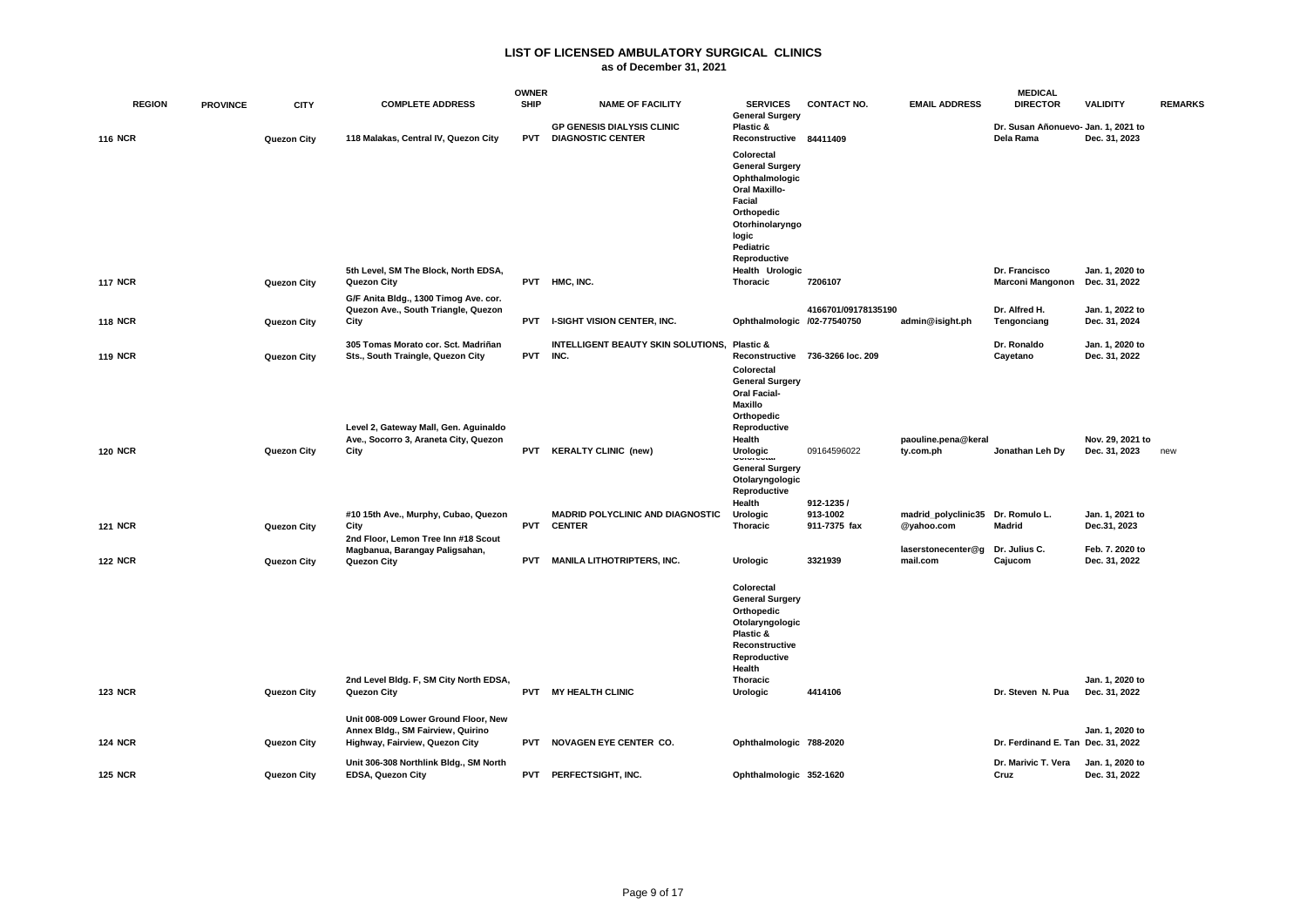|                |                 |             |                                                                                                             | <b>OWNER</b> |                                                                   |                                                                                                                                                 |                                  |                                  | <b>MEDICAL</b>                                   |                                   |                |
|----------------|-----------------|-------------|-------------------------------------------------------------------------------------------------------------|--------------|-------------------------------------------------------------------|-------------------------------------------------------------------------------------------------------------------------------------------------|----------------------------------|----------------------------------|--------------------------------------------------|-----------------------------------|----------------|
| <b>REGION</b>  | <b>PROVINCE</b> | <b>CITY</b> | <b>COMPLETE ADDRESS</b>                                                                                     | <b>SHIP</b>  | <b>NAME OF FACILITY</b>                                           | <b>SERVICES</b><br><b>General Surgery</b>                                                                                                       | <b>CONTACT NO.</b>               | <b>EMAIL ADDRESS</b>             | <b>DIRECTOR</b>                                  | <b>VALIDITY</b>                   | <b>REMARKS</b> |
| <b>116 NCR</b> |                 | Quezon City | 118 Malakas, Central IV, Quezon City                                                                        |              | <b>GP GENESIS DIALYSIS CLINIC</b><br><b>PVT DIAGNOSTIC CENTER</b> | Plastic &<br>Reconstructive 84411409                                                                                                            |                                  |                                  | Dr. Susan Añonuevo- Jan. 1, 2021 to<br>Dela Rama | Dec. 31, 2023                     |                |
|                |                 |             |                                                                                                             |              |                                                                   | Colorectal<br><b>General Surgery</b><br>Ophthalmologic<br><b>Oral Maxillo-</b><br>Facial<br>Orthopedic<br>Otorhinolaryngo<br>logic<br>Pediatric |                                  |                                  |                                                  |                                   |                |
|                |                 |             | 5th Level, SM The Block, North EDSA,                                                                        |              |                                                                   | Reproductive<br>Health Urologic                                                                                                                 |                                  |                                  | Dr. Francisco                                    | Jan. 1, 2020 to                   |                |
| <b>117 NCR</b> |                 | Quezon City | Quezon City<br>G/F Anita Bldg., 1300 Timog Ave. cor.                                                        | <b>PVT</b>   | HMC, INC.                                                         | Thoracic                                                                                                                                        | 7206107                          |                                  | <b>Marconi Mangonon</b>                          | Dec. 31, 2022                     |                |
| <b>118 NCR</b> |                 | Quezon City | Quezon Ave., South Triangle, Quezon<br>City                                                                 | <b>PVT</b>   | <b>I-SIGHT VISION CENTER, INC.</b>                                | Ophthalmologic /02-77540750                                                                                                                     | 4166701/09178135190              | admin@isight.ph                  | Dr. Alfred H.<br>Tengonciang                     | Jan. 1, 2022 to<br>Dec. 31, 2024  |                |
| <b>119 NCR</b> |                 | Quezon City | 305 Tomas Morato cor. Sct. Madriñan<br>Sts., South Traingle, Quezon City                                    | <b>PVT</b>   | INTELLIGENT BEAUTY SKIN SOLUTIONS, Plastic &<br>INC.              | Colorectal<br><b>General Surgery</b><br><b>Oral Facial-</b><br><b>Maxillo</b>                                                                   | Reconstructive 736-3266 loc. 209 |                                  | Dr. Ronaldo<br>Cayetano                          | Jan. 1, 2020 to<br>Dec. 31, 2022  |                |
| <b>120 NCR</b> |                 | Quezon City | Level 2, Gateway Mall, Gen. Aguinaldo<br>Ave., Socorro 3, Araneta City, Quezon<br>City                      | PVT          | <b>KERALTY CLINIC (new)</b>                                       | Orthopedic<br>Reproductive<br>Health<br>Urologic                                                                                                | 09164596022                      | paouline.pena@keral<br>ty.com.ph | Jonathan Leh Dy                                  | Nov. 29, 2021 to<br>Dec. 31, 2023 | new            |
|                |                 |             | #10 15th Ave., Murphy, Cubao, Quezon                                                                        |              | <b>MADRID POLYCLINIC AND DIAGNOSTIC</b>                           | <b>General Surgery</b><br>Otolaryngologic<br>Reproductive<br>Health<br>Urologic                                                                 | 912-1235/<br>913-1002            | madrid_polyclinic35              | Dr. Romulo L.                                    | Jan. 1, 2021 to                   |                |
| <b>121 NCR</b> |                 | Quezon City | City<br>2nd Floor, Lemon Tree Inn #18 Scout                                                                 | <b>PVT</b>   | <b>CENTER</b>                                                     | Thoracic                                                                                                                                        | 911-7375 fax                     | @yahoo.com                       | <b>Madrid</b>                                    | Dec.31, 2023                      |                |
| <b>122 NCR</b> |                 | Quezon City | Magbanua, Barangay Paligsahan,<br>Quezon City                                                               | <b>PVT</b>   | <b>MANILA LITHOTRIPTERS, INC.</b>                                 | Urologic                                                                                                                                        | 3321939                          | laserstonecenter@g<br>mail.com   | Dr. Julius C.<br>Cajucom                         | Feb. 7. 2020 to<br>Dec. 31, 2022  |                |
|                |                 |             |                                                                                                             |              |                                                                   | Colorectal<br><b>General Surgery</b><br>Orthopedic<br>Otolaryngologic<br>Plastic &<br>Reconstructive<br>Reproductive<br>Health                  |                                  |                                  |                                                  |                                   |                |
| <b>123 NCR</b> |                 | Quezon City | 2nd Level Bldg. F, SM City North EDSA,<br>Quezon City                                                       |              | PVT MY HEALTH CLINIC                                              | Thoracic<br>Urologic                                                                                                                            | 4414106                          |                                  | Dr. Steven N. Pua                                | Jan. 1, 2020 to<br>Dec. 31, 2022  |                |
| <b>124 NCR</b> |                 | Quezon City | Unit 008-009 Lower Ground Floor, New<br>Annex Bldg., SM Fairview, Quirino<br>Highway, Fairview, Quezon City | <b>PVT</b>   | NOVAGEN EYE CENTER CO.                                            | Ophthalmologic 788-2020                                                                                                                         |                                  |                                  | Dr. Ferdinand E. Tan Dec. 31, 2022               | Jan. 1, 2020 to                   |                |
|                |                 |             | Unit 306-308 Northlink Bldg., SM North                                                                      |              |                                                                   |                                                                                                                                                 |                                  |                                  | Dr. Marivic T. Vera                              | Jan. 1, 2020 to                   |                |
| <b>125 NCR</b> |                 | Quezon City | <b>EDSA, Quezon City</b>                                                                                    | <b>PVT</b>   | PERFECTSIGHT, INC.                                                | Ophthalmologic 352-1620                                                                                                                         |                                  |                                  | Cruz                                             | Dec. 31, 2022                     |                |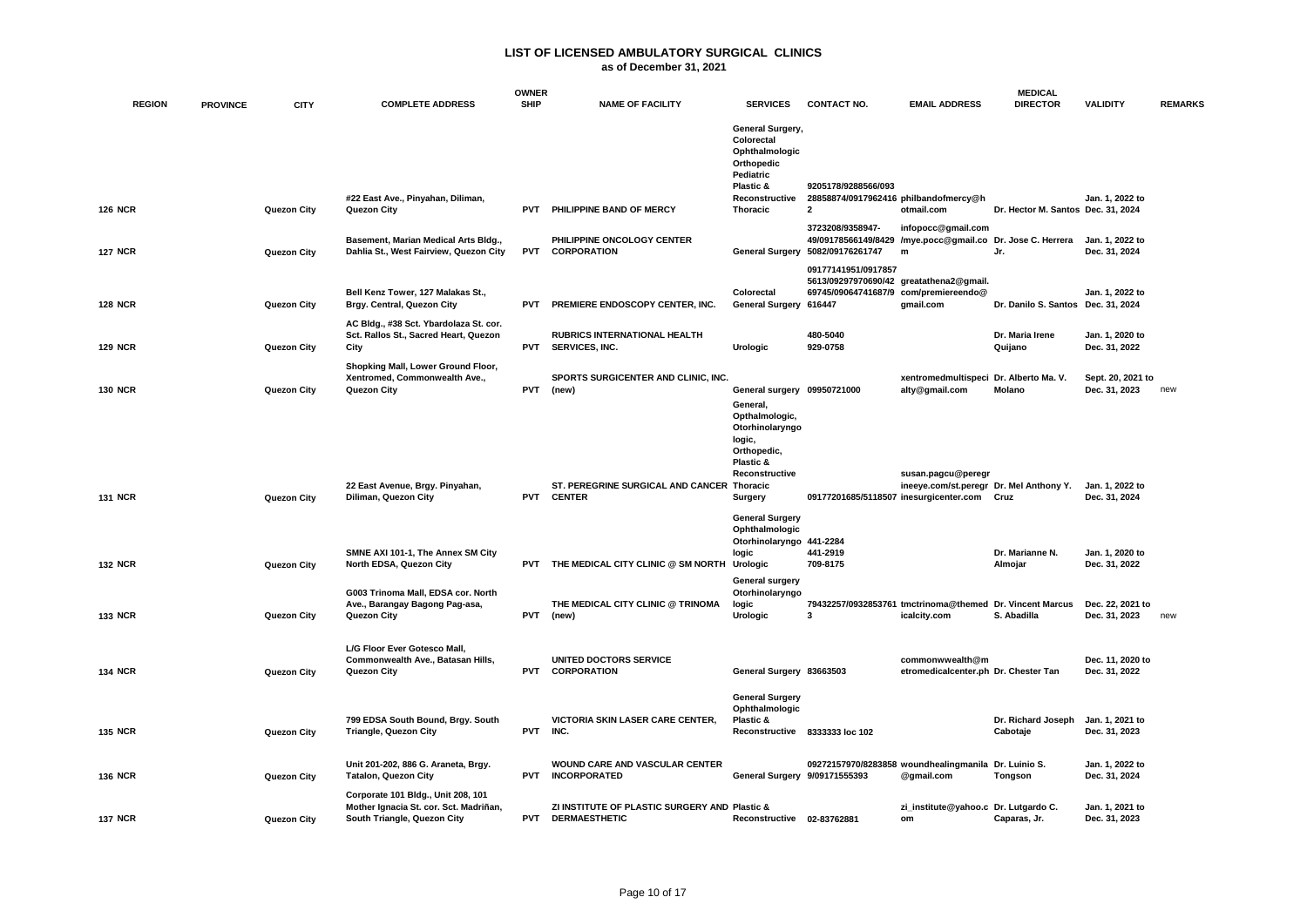### **as of December 31, 2021**

| <b>REGION</b>  | <b>PROVINCE</b> | <b>CITY</b> | <b>COMPLETE ADDRESS</b>                                                                                     | <b>OWNER</b><br><b>SHIP</b> | <b>NAME OF FACILITY</b>                                               | <b>SERVICES</b>                                                                                                               | <b>CONTACT NO.</b>                                                             | <b>EMAIL ADDRESS</b>                                                                          | <b>MEDICAL</b><br><b>DIRECTOR</b>  | <b>VALIDITY</b>                    | <b>REMARKS</b> |
|----------------|-----------------|-------------|-------------------------------------------------------------------------------------------------------------|-----------------------------|-----------------------------------------------------------------------|-------------------------------------------------------------------------------------------------------------------------------|--------------------------------------------------------------------------------|-----------------------------------------------------------------------------------------------|------------------------------------|------------------------------------|----------------|
| <b>126 NCR</b> |                 | Quezon City | #22 East Ave., Pinyahan, Diliman,<br>Quezon City                                                            | <b>PVT</b>                  | PHILIPPINE BAND OF MERCY                                              | General Surgery,<br>Colorectal<br>Ophthalmologic<br>Orthopedic<br>Pediatric<br>Plastic &<br>Reconstructive<br><b>Thoracic</b> | 9205178/9288566/093<br>28858874/0917962416 philbandofmercy@h<br>$\overline{2}$ | otmail.com                                                                                    | Dr. Hector M. Santos Dec. 31, 2024 | Jan. 1, 2022 to                    |                |
| <b>127 NCR</b> |                 | Quezon City | Basement, Marian Medical Arts Bldg.,<br>Dahlia St., West Fairview, Quezon City                              |                             | PHILIPPINE ONCOLOGY CENTER<br>PVT CORPORATION                         |                                                                                                                               | 3723208/9358947-<br>General Surgery 5082/09176261747                           | infopocc@gmail.com<br>49/09178566149/8429 /mye.pocc@gmail.co Dr. Jose C. Herrera<br>m         | Jr.                                | Jan. 1, 2022 to<br>Dec. 31, 2024   |                |
| <b>128 NCR</b> |                 | Quezon City | Bell Kenz Tower, 127 Malakas St.,<br>Brgy. Central, Quezon City<br>AC Bldg., #38 Sct. Ybardolaza St. cor.   | <b>PVT</b>                  | PREMIERE ENDOSCOPY CENTER, INC.                                       | Colorectal<br>General Surgery 616447                                                                                          | 09177141951/0917857                                                            | 5613/09297970690/42 greatathena2@gmail.<br>69745/09064741687/9 com/premiereendo@<br>gmail.com | Dr. Danilo S. Santos Dec. 31, 2024 | Jan. 1. 2022 to                    |                |
| <b>129 NCR</b> |                 | Quezon City | Sct. Rallos St., Sacred Heart, Quezon<br>City                                                               | <b>PVT</b>                  | <b>RUBRICS INTERNATIONAL HEALTH</b><br>SERVICES, INC.                 | Urologic                                                                                                                      | 480-5040<br>929-0758                                                           |                                                                                               | Dr. Maria Irene<br>Quijano         | Jan. 1, 2020 to<br>Dec. 31, 2022   |                |
| <b>130 NCR</b> |                 | Quezon City | Shopking Mall, Lower Ground Floor,<br>Xentromed, Commonwealth Ave.,<br>Quezon City                          | <b>PVT</b>                  | SPORTS SURGICENTER AND CLINIC, INC.<br>(new)                          | General surgery 09950721000<br>General,<br>Opthalmologic,<br>Otorhinolaryngo<br>logic,                                        |                                                                                | xentromedmultispeci Dr. Alberto Ma. V.<br>alty@gmail.com                                      | Molano                             | Sept. 20, 2021 to<br>Dec. 31, 2023 | new            |
| <b>131 NCR</b> |                 | Quezon City | 22 East Avenue, Brgy. Pinyahan,<br>Diliman, Quezon City                                                     |                             | ST. PEREGRINE SURGICAL AND CANCER Thoracic<br>PVT CENTER              | Orthopedic,<br>Plastic &<br>Reconstructive<br>Surgery<br><b>General Surgery</b>                                               | 09177201685/5118507 inesurgicenter.com                                         | susan.pagcu@peregr<br>ineeye.com/st.peregr Dr. Mel Anthony Y.                                 | Cruz                               | Jan. 1, 2022 to<br>Dec. 31, 2024   |                |
| <b>132 NCR</b> |                 | Quezon City | SMNE AXI 101-1, The Annex SM City<br>North EDSA, Quezon City                                                |                             | PVT THE MEDICAL CITY CLINIC @ SM NORTH                                | Ophthalmologic<br>Otorhinolaryngo 441-2284<br>logic<br>Urologic                                                               | 441-2919<br>709-8175                                                           |                                                                                               | Dr. Marianne N.<br>Almojar         | Jan. 1, 2020 to<br>Dec. 31, 2022   |                |
| <b>133 NCR</b> |                 | Quezon City | G003 Trinoma Mall, EDSA cor. North<br>Ave., Barangay Bagong Pag-asa,<br>Quezon City                         | PVT                         | THE MEDICAL CITY CLINIC @ TRINOMA<br>(new)                            | General surgery<br>Otorhinolaryngo<br>logic<br>Urologic                                                                       | 3                                                                              | 79432257/0932853761 tmctrinoma@themed Dr. Vincent Marcus<br>icalcity.com                      | S. Abadilla                        | Dec. 22, 2021 to<br>Dec. 31, 2023  | new            |
| <b>134 NCR</b> |                 | Quezon City | L/G Floor Ever Gotesco Mall,<br>Commonwealth Ave., Batasan Hills,<br>Quezon City                            | <b>PVT</b>                  | UNITED DOCTORS SERVICE<br><b>CORPORATION</b>                          | General Surgery 83663503                                                                                                      |                                                                                | commonwwealth@m<br>etromedicalcenter.ph Dr. Chester Tan                                       |                                    | Dec. 11, 2020 to<br>Dec. 31, 2022  |                |
| <b>135 NCR</b> |                 | Quezon City | 799 EDSA South Bound, Brgy. South<br><b>Triangle, Quezon City</b>                                           | <b>PVT</b>                  | <b>VICTORIA SKIN LASER CARE CENTER.</b><br>INC.                       | <b>General Surgery</b><br>Ophthalmologic<br>Plastic &                                                                         | Reconstructive 8333333 loc 102                                                 |                                                                                               | Dr. Richard Joseph<br>Cabotaje     | Jan. 1, 2021 to<br>Dec. 31, 2023   |                |
| <b>136 NCR</b> |                 | Quezon City | Unit 201-202, 886 G. Araneta, Brgy.<br><b>Tatalon, Quezon City</b>                                          |                             | <b>WOUND CARE AND VASCULAR CENTER</b><br>PVT INCORPORATED             | General Surgery 9/09171555393                                                                                                 |                                                                                | 09272157970/8283858 woundhealingmanila Dr. Luinio S.<br>@gmail.com                            | Tongson                            | Jan. 1. 2022 to<br>Dec. 31, 2024   |                |
| <b>137 NCR</b> |                 | Quezon City | Corporate 101 Bldg., Unit 208, 101<br>Mother Ignacia St. cor. Sct. Madriñan,<br>South Triangle, Quezon City | <b>PVT</b>                  | ZI INSTITUTE OF PLASTIC SURGERY AND Plastic &<br><b>DERMAESTHETIC</b> | Reconstructive 02-83762881                                                                                                    |                                                                                | zi_institute@yahoo.c Dr. Lutgardo C.<br>om                                                    | Caparas, Jr.                       | Jan. 1, 2021 to<br>Dec. 31, 2023   |                |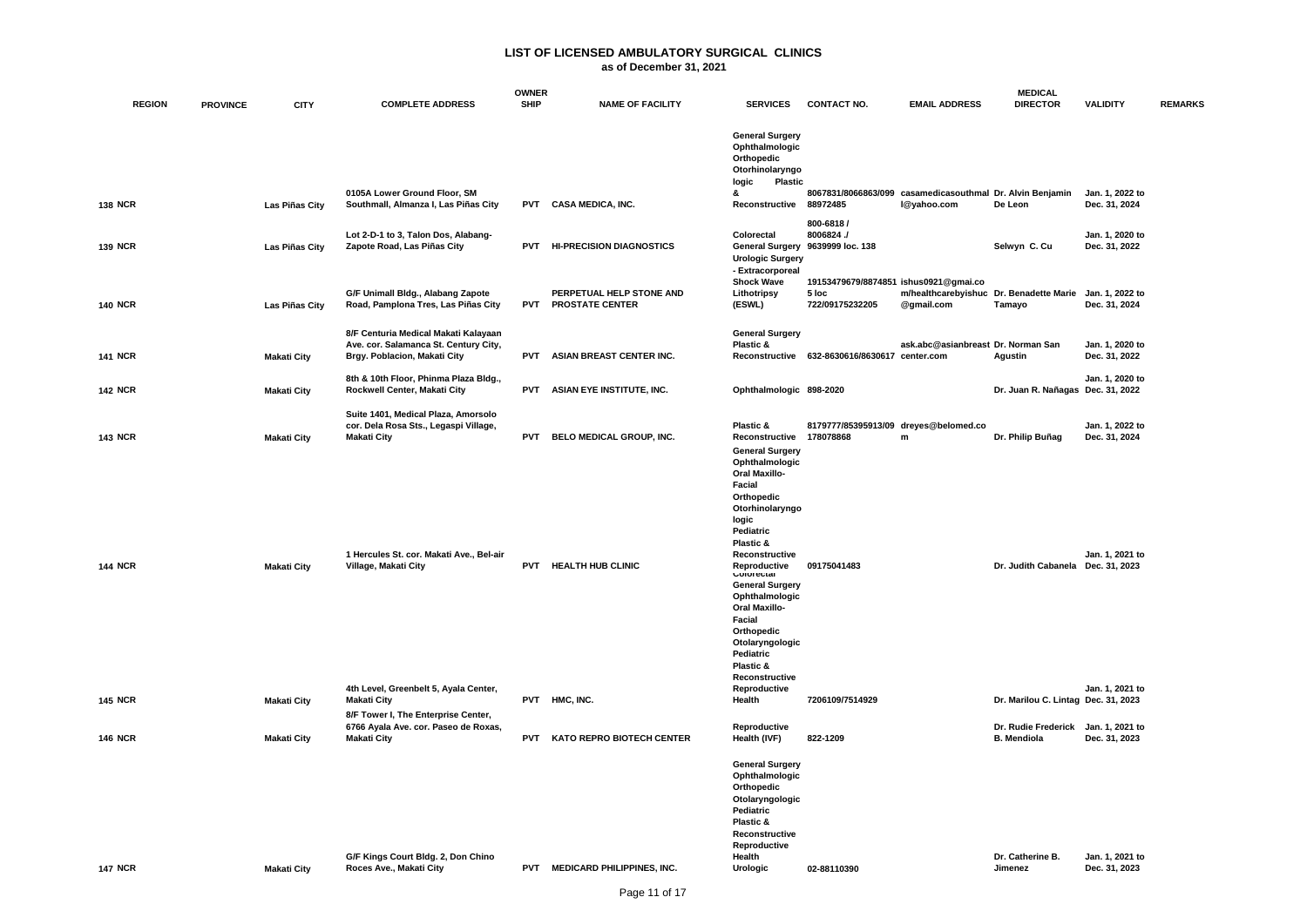|                |                 |                    |                                                                                                               | <b>OWNER</b> |                                                    |                                                                                                                                                                                                                                                                                                                                         |                                                                   |                                                       | <b>MEDICAL</b>                            |                                  |                |
|----------------|-----------------|--------------------|---------------------------------------------------------------------------------------------------------------|--------------|----------------------------------------------------|-----------------------------------------------------------------------------------------------------------------------------------------------------------------------------------------------------------------------------------------------------------------------------------------------------------------------------------------|-------------------------------------------------------------------|-------------------------------------------------------|-------------------------------------------|----------------------------------|----------------|
| <b>REGION</b>  | <b>PROVINCE</b> | <b>CITY</b>        | <b>COMPLETE ADDRESS</b>                                                                                       | <b>SHIP</b>  | <b>NAME OF FACILITY</b>                            | <b>SERVICES</b>                                                                                                                                                                                                                                                                                                                         | <b>CONTACT NO.</b>                                                | <b>EMAIL ADDRESS</b>                                  | <b>DIRECTOR</b>                           | <b>VALIDITY</b>                  | <b>REMARKS</b> |
|                |                 |                    |                                                                                                               |              |                                                    | <b>General Surgery</b><br>Ophthalmologic<br>Orthopedic<br>Otorhinolaryngo<br><b>Plastic</b><br>logic<br>ጼ                                                                                                                                                                                                                               |                                                                   |                                                       |                                           |                                  |                |
| <b>138 NCR</b> |                 | Las Piñas City     | 0105A Lower Ground Floor, SM<br>Southmall, Almanza I, Las Piñas City                                          |              | PVT CASA MEDICA, INC.                              | Reconstructive 88972485                                                                                                                                                                                                                                                                                                                 | 8067831/8066863/099                                               | casamedicasouthmal Dr. Alvin Benjamin<br>I@yahoo.com  | De Leon                                   | Jan. 1, 2022 to<br>Dec. 31, 2024 |                |
| <b>139 NCR</b> |                 | Las Piñas City     | Lot 2-D-1 to 3, Talon Dos, Alabang-<br>Zapote Road, Las Piñas City                                            | <b>PVT</b>   | <b>HI-PRECISION DIAGNOSTICS</b>                    | Colorectal<br><b>Urologic Surgery</b><br>- Extracorporeal                                                                                                                                                                                                                                                                               | 800-6818 /<br>8006824./<br>General Surgery 9639999 loc. 138       |                                                       | Selwyn C. Cu                              | Jan. 1, 2020 to<br>Dec. 31, 2022 |                |
| <b>140 NCR</b> |                 | Las Piñas City     | G/F Unimall Bldg., Alabang Zapote<br>Road, Pamplona Tres, Las Piñas City                                      | <b>PVT</b>   | PERPETUAL HELP STONE AND<br><b>PROSTATE CENTER</b> | <b>Shock Wave</b><br>Lithotripsy<br>(ESWL)                                                                                                                                                                                                                                                                                              | 19153479679/8874851 ishus0921@gmai.co<br>5 loc<br>722/09175232205 | m/healthcarebyishuc Dr. Benadette Marie<br>@gmail.com | Tamayo                                    | Jan. 1, 2022 to<br>Dec. 31, 2024 |                |
| <b>141 NCR</b> |                 | <b>Makati City</b> | 8/F Centuria Medical Makati Kalayaan<br>Ave. cor. Salamanca St. Century City,<br>Brgy. Poblacion, Makati City | <b>PVT</b>   | <b>ASIAN BREAST CENTER INC.</b>                    | <b>General Surgery</b><br>Plastic &                                                                                                                                                                                                                                                                                                     | Reconstructive 632-8630616/8630617 center.com                     | ask.abc@asianbreast Dr. Norman San                    | Agustin                                   | Jan. 1, 2020 to<br>Dec. 31, 2022 |                |
| <b>142 NCR</b> |                 | <b>Makati City</b> | 8th & 10th Floor, Phinma Plaza Bldg.,<br>Rockwell Center, Makati City                                         | <b>PVT</b>   | ASIAN EYE INSTITUTE, INC.                          | Ophthalmologic 898-2020                                                                                                                                                                                                                                                                                                                 |                                                                   |                                                       | Dr. Juan R. Nañagas Dec. 31, 2022         | Jan. 1, 2020 to                  |                |
| <b>143 NCR</b> |                 | <b>Makati City</b> | Suite 1401, Medical Plaza, Amorsolo<br>cor. Dela Rosa Sts., Legaspi Village,<br><b>Makati City</b>            | <b>PVT</b>   | BELO MEDICAL GROUP, INC.                           | Plastic &<br>Reconstructive<br><b>General Surgery</b>                                                                                                                                                                                                                                                                                   | 8179777/85395913/09 dreyes@belomed.co<br>178078868                | ${\sf m}$                                             | Dr. Philip Buñag                          | Jan. 1, 2022 to<br>Dec. 31, 2024 |                |
| <b>144 NCR</b> |                 | <b>Makati City</b> | 1 Hercules St. cor. Makati Ave., Bel-air<br>Village, Makati City                                              |              | PVT HEALTH HUB CLINIC                              | Ophthalmologic<br><b>Oral Maxillo-</b><br>Facial<br>Orthopedic<br>Otorhinolaryngo<br>logic<br>Pediatric<br>Plastic &<br>Reconstructive<br>Reproductive<br><b>CUIUI ECIAI</b><br><b>General Surgery</b><br>Ophthalmologic<br><b>Oral Maxillo-</b><br>Facial<br>Orthopedic<br>Otolaryngologic<br>Pediatric<br>Plastic &<br>Reconstructive | 09175041483                                                       |                                                       | Dr. Judith Cabanela Dec. 31, 2023         | Jan. 1, 2021 to                  |                |
| <b>145 NCR</b> |                 | <b>Makati City</b> | 4th Level, Greenbelt 5, Ayala Center,<br><b>Makati City</b><br>8/F Tower I, The Enterprise Center,            | <b>PVT</b>   | HMC, INC.                                          | Reproductive<br>Health                                                                                                                                                                                                                                                                                                                  | 7206109/7514929                                                   |                                                       | Dr. Marilou C. Lintag Dec. 31, 2023       | Jan. 1, 2021 to                  |                |
| <b>146 NCR</b> |                 | <b>Makati City</b> | 6766 Ayala Ave. cor. Paseo de Roxas,<br><b>Makati City</b>                                                    | <b>PVT</b>   | <b>KATO REPRO BIOTECH CENTER</b>                   | Reproductive<br>Health (IVF)                                                                                                                                                                                                                                                                                                            | 822-1209                                                          |                                                       | Dr. Rudie Frederick<br><b>B.</b> Mendiola | Jan. 1, 2021 to<br>Dec. 31, 2023 |                |
| <b>147 NCR</b> |                 | <b>Makati City</b> | G/F Kings Court Bldg. 2, Don Chino<br>Roces Ave., Makati City                                                 |              | PVT MEDICARD PHILIPPINES, INC.                     | <b>General Surgery</b><br>Ophthalmologic<br>Orthopedic<br>Otolaryngologic<br>Pediatric<br>Plastic &<br>Reconstructive<br>Reproductive<br>Health<br>Urologic                                                                                                                                                                             | 02-88110390                                                       |                                                       | Dr. Catherine B.<br>Jimenez               | Jan. 1, 2021 to<br>Dec. 31, 2023 |                |
|                |                 |                    |                                                                                                               |              |                                                    |                                                                                                                                                                                                                                                                                                                                         |                                                                   |                                                       |                                           |                                  |                |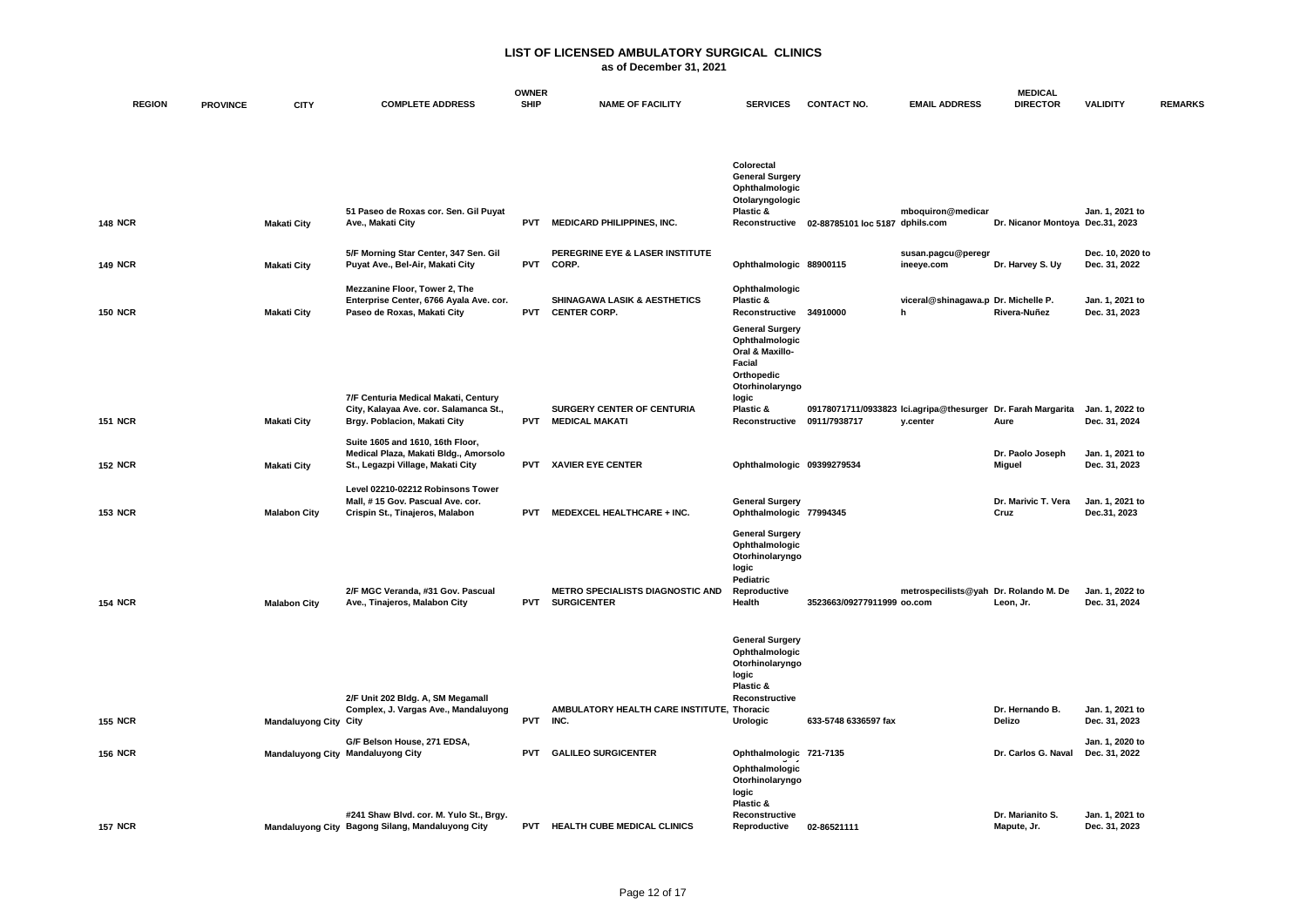|                |                 |                              |                                                                                                                | <b>OWNER</b> |                                                                |                                                                                                                                                                  |                                                              |                                          | <b>MEDICAL</b>                    |                                   |                |
|----------------|-----------------|------------------------------|----------------------------------------------------------------------------------------------------------------|--------------|----------------------------------------------------------------|------------------------------------------------------------------------------------------------------------------------------------------------------------------|--------------------------------------------------------------|------------------------------------------|-----------------------------------|-----------------------------------|----------------|
| <b>REGION</b>  | <b>PROVINCE</b> | <b>CITY</b>                  | <b>COMPLETE ADDRESS</b>                                                                                        | <b>SHIP</b>  | <b>NAME OF FACILITY</b>                                        | <b>SERVICES</b>                                                                                                                                                  | <b>CONTACT NO.</b>                                           | <b>EMAIL ADDRESS</b>                     | <b>DIRECTOR</b>                   | <b>VALIDITY</b>                   | <b>REMARKS</b> |
|                |                 |                              | 51 Paseo de Roxas cor. Sen. Gil Puyat                                                                          |              |                                                                | Colorectal<br><b>General Surgery</b><br>Ophthalmologic<br>Otolaryngologic<br>Plastic &                                                                           |                                                              | mboquiron@medicar                        |                                   | Jan. 1. 2021 to                   |                |
| <b>148 NCR</b> |                 | <b>Makati City</b>           | Ave., Makati City                                                                                              | <b>PVT</b>   | <b>MEDICARD PHILIPPINES, INC.</b>                              |                                                                                                                                                                  | Reconstructive 02-88785101 loc 5187 dphils.com               |                                          | Dr. Nicanor Montoya Dec.31, 2023  |                                   |                |
| <b>149 NCR</b> |                 | <b>Makati City</b>           | 5/F Morning Star Center, 347 Sen. Gil<br>Puyat Ave., Bel-Air, Makati City                                      | <b>PVT</b>   | PEREGRINE EYE & LASER INSTITUTE<br>CORP.                       | Ophthalmologic 88900115                                                                                                                                          |                                                              | susan.pagcu@peregr<br>ineeye.com         | Dr. Harvey S. Uy                  | Dec. 10. 2020 to<br>Dec. 31, 2022 |                |
| <b>150 NCR</b> |                 | <b>Makati City</b>           | Mezzanine Floor, Tower 2, The<br>Enterprise Center, 6766 Ayala Ave. cor.<br>Paseo de Roxas, Makati City        | <b>PVT</b>   | <b>SHINAGAWA LASIK &amp; AESTHETICS</b><br><b>CENTER CORP.</b> | Ophthalmologic<br>Plastic &<br>Reconstructive 34910000<br><b>General Surgery</b><br>Ophthalmologic<br>Oral & Maxillo-<br>Facial<br>Orthopedic<br>Otorhinolaryngo |                                                              | viceral@shinagawa.p Dr. Michelle P.<br>h | Rivera-Nuñez                      | Jan. 1, 2021 to<br>Dec. 31, 2023  |                |
| <b>151 NCR</b> |                 | <b>Makati City</b>           | 7/F Centuria Medical Makati, Century<br>City, Kalayaa Ave. cor. Salamanca St.,<br>Brgy. Poblacion, Makati City |              | <b>SURGERY CENTER OF CENTURIA</b><br>PVT MEDICAL MAKATI        | logic<br>Plastic &<br>Reconstructive 0911/7938717                                                                                                                | 09178071711/0933823 Ici.agripa@thesurger Dr. Farah Margarita | y.center                                 | Aure                              | Jan. 1, 2022 to<br>Dec. 31, 2024  |                |
| <b>152 NCR</b> |                 | <b>Makati City</b>           | Suite 1605 and 1610, 16th Floor,<br>Medical Plaza, Makati Bldg., Amorsolo<br>St., Legazpi Village, Makati City | <b>PVT</b>   | <b>XAVIER EYE CENTER</b>                                       | Ophthalmologic 09399279534                                                                                                                                       |                                                              |                                          | Dr. Paolo Joseph<br><b>Miguel</b> | Jan. 1, 2021 to<br>Dec. 31, 2023  |                |
| <b>153 NCR</b> |                 | <b>Malabon City</b>          | Level 02210-02212 Robinsons Tower<br>Mall, #15 Gov. Pascual Ave. cor.<br>Crispin St., Tinajeros, Malabon       | <b>PVT</b>   | <b>MEDEXCEL HEALTHCARE + INC.</b>                              | <b>General Surgery</b><br>Ophthalmologic 77994345                                                                                                                |                                                              |                                          | Dr. Marivic T. Vera<br>Cruz       | Jan. 1, 2021 to<br>Dec.31, 2023   |                |
| <b>154 NCR</b> |                 | <b>Malabon City</b>          | 2/F MGC Veranda, #31 Gov. Pascual<br>Ave., Tinajeros, Malabon City                                             |              | METRO SPECIALISTS DIAGNOSTIC AND<br><b>PVT SURGICENTER</b>     | <b>General Surgery</b><br>Ophthalmologic<br>Otorhinolaryngo<br>logic<br>Pediatric<br>Reproductive<br>Health                                                      | 3523663/09277911999 oo.com                                   | metrospecilists@yah Dr. Rolando M. De    | Leon, Jr.                         | Jan. 1, 2022 to<br>Dec. 31, 2024  |                |
|                |                 |                              | 2/F Unit 202 Bldg. A, SM Megamall<br>Complex, J. Vargas Ave., Mandaluyong                                      |              | AMBULATORY HEALTH CARE INSTITUTE, Thoracic                     | <b>General Surgery</b><br>Ophthalmologic<br>Otorhinolaryngo<br>logic<br>Plastic &<br>Reconstructive                                                              |                                                              |                                          | Dr. Hernando B.                   | Jan. 1, 2021 to                   |                |
| <b>155 NCR</b> |                 | <b>Mandaluyong City City</b> |                                                                                                                | <b>PVT</b>   | INC.                                                           | Urologic                                                                                                                                                         | 633-5748 6336597 fax                                         |                                          | Delizo                            | Dec. 31, 2023                     |                |
| <b>156 NCR</b> |                 |                              | G/F Belson House, 271 EDSA,<br>Mandaluyong City Mandaluyong City                                               | <b>PVT</b>   | <b>GALILEO SURGICENTER</b>                                     | Ophthalmologic 721-7135<br>Ophthalmologic<br>Otorhinolaryngo<br>logic<br>Plastic &                                                                               |                                                              |                                          | Dr. Carlos G. Naval               | Jan. 1, 2020 to<br>Dec. 31, 2022  |                |
| <b>157 NCR</b> |                 |                              | #241 Shaw Blvd. cor. M. Yulo St., Brgy.<br>Mandaluyong City Bagong Silang, Mandaluyong City                    |              | PVT HEALTH CUBE MEDICAL CLINICS                                | Reconstructive<br>Reproductive                                                                                                                                   | 02-86521111                                                  |                                          | Dr. Marianito S.<br>Mapute, Jr.   | Jan. 1, 2021 to<br>Dec. 31, 2023  |                |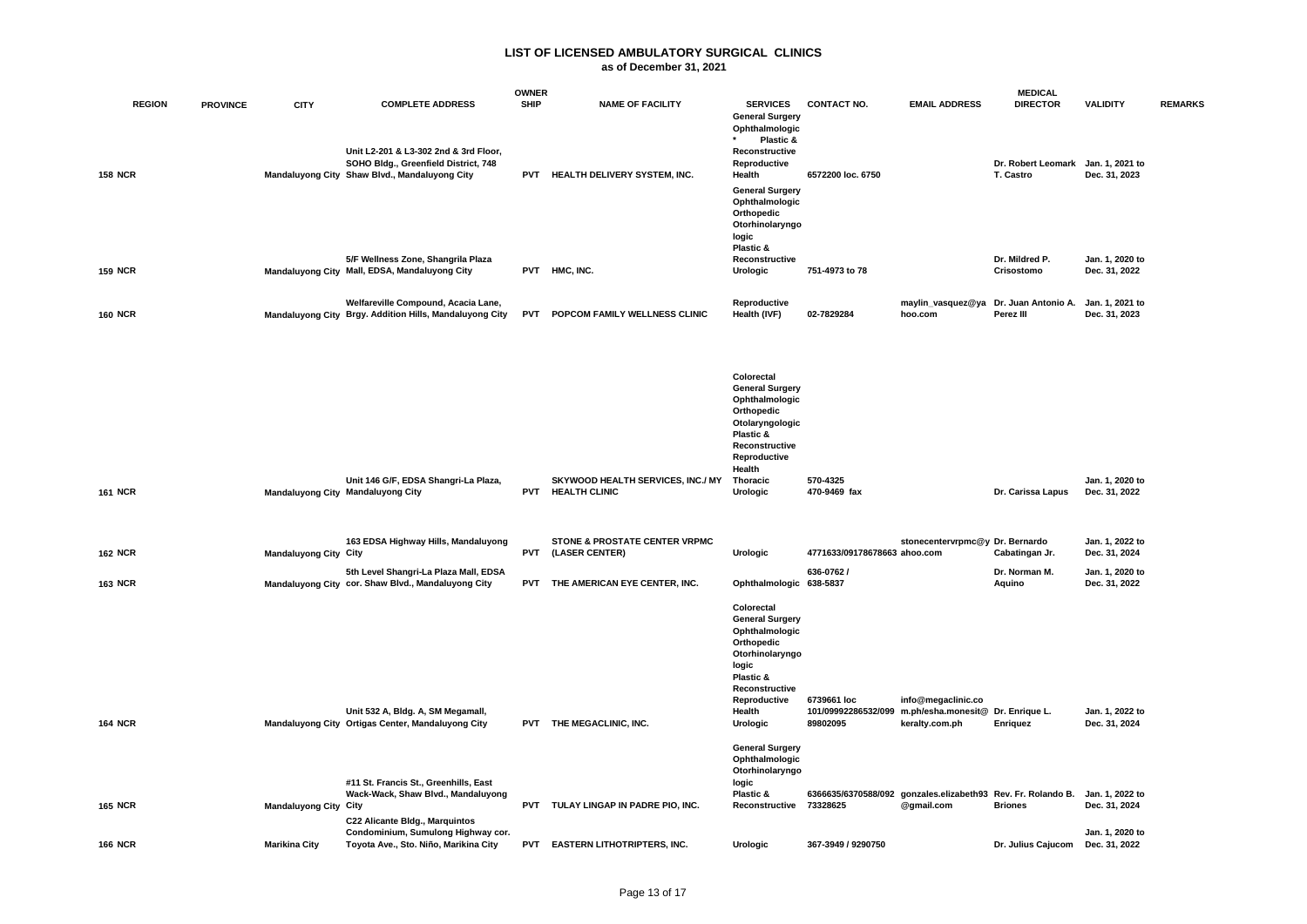|                |                 |                              |                                                                                                                                | <b>OWNER</b> |                                                           |                                                                                                                                                                       |                                                |                                                                                            | <b>MEDICAL</b>                                  |                                  |                |
|----------------|-----------------|------------------------------|--------------------------------------------------------------------------------------------------------------------------------|--------------|-----------------------------------------------------------|-----------------------------------------------------------------------------------------------------------------------------------------------------------------------|------------------------------------------------|--------------------------------------------------------------------------------------------|-------------------------------------------------|----------------------------------|----------------|
| <b>REGION</b>  | <b>PROVINCE</b> | <b>CITY</b>                  | <b>COMPLETE ADDRESS</b>                                                                                                        | <b>SHIP</b>  | <b>NAME OF FACILITY</b>                                   | <b>SERVICES</b><br><b>General Surgery</b><br>Ophthalmologic<br>Plastic &                                                                                              | <b>CONTACT NO.</b>                             | <b>EMAIL ADDRESS</b>                                                                       | <b>DIRECTOR</b>                                 | <b>VALIDITY</b>                  | <b>REMARKS</b> |
| <b>158 NCR</b> |                 |                              | Unit L2-201 & L3-302 2nd & 3rd Floor,<br>SOHO Bldg., Greenfield District, 748<br>Mandaluyong City Shaw Blvd., Mandaluyong City | <b>PVT</b>   | HEALTH DELIVERY SYSTEM, INC.                              | Reconstructive<br>Reproductive<br>Health<br><b>General Surgery</b><br>Ophthalmologic                                                                                  | 6572200 loc. 6750                              |                                                                                            | Dr. Robert Leomark Jan. 1, 2021 to<br>T. Castro | Dec. 31, 2023                    |                |
| <b>159 NCR</b> |                 |                              | 5/F Wellness Zone, Shangrila Plaza<br>Mandaluyong City Mall, EDSA, Mandaluyong City                                            |              | PVT HMC, INC.                                             | Orthopedic<br>Otorhinolaryngo<br>logic<br>Plastic &<br>Reconstructive<br>Urologic                                                                                     | 751-4973 to 78                                 |                                                                                            | Dr. Mildred P.<br>Crisostomo                    | Jan. 1, 2020 to<br>Dec. 31, 2022 |                |
| <b>160 NCR</b> |                 |                              | Welfareville Compound, Acacia Lane,<br>Mandaluyong City Brgy. Addition Hills, Mandaluyong City                                 |              | PVT POPCOM FAMILY WELLNESS CLINIC                         | Reproductive<br>Health (IVF)                                                                                                                                          | 02-7829284                                     | maylin_vasquez@ya Dr. Juan Antonio A.<br>hoo.com                                           | Perez III                                       | Jan. 1, 2021 to<br>Dec. 31, 2023 |                |
|                |                 |                              |                                                                                                                                |              |                                                           | Colorectal<br><b>General Surgery</b><br>Ophthalmologic<br>Orthopedic<br>Otolaryngologic<br>Plastic &<br>Reconstructive<br>Reproductive<br>Health                      |                                                |                                                                                            |                                                 |                                  |                |
| <b>161 NCR</b> |                 |                              | Unit 146 G/F, EDSA Shangri-La Plaza,<br>Mandaluyong City Mandaluyong City                                                      | <b>PVT</b>   | SKYWOOD HEALTH SERVICES, INC./ MY<br><b>HEALTH CLINIC</b> | Thoracic<br>Urologic                                                                                                                                                  | 570-4325<br>470-9469 fax                       |                                                                                            | Dr. Carissa Lapus                               | Jan. 1, 2020 to<br>Dec. 31, 2022 |                |
| <b>162 NCR</b> |                 | <b>Mandaluyong City City</b> | 163 EDSA Highway Hills, Mandaluyong                                                                                            | <b>PVT</b>   | STONE & PROSTATE CENTER VRPMC<br>(LASER CENTER)           | Urologic                                                                                                                                                              | 4771633/09178678663 ahoo.com                   | stonecentervrpmc@y Dr. Bernardo                                                            | Cabatingan Jr.                                  | Jan. 1, 2022 to<br>Dec. 31, 2024 |                |
| <b>163 NCR</b> |                 |                              | 5th Level Shangri-La Plaza Mall, EDSA<br>Mandaluyong City cor. Shaw Blvd., Mandaluyong City                                    | <b>PVT</b>   | THE AMERICAN EYE CENTER, INC.                             | Ophthalmologic 638-5837                                                                                                                                               | 636-0762 /                                     |                                                                                            | Dr. Norman M.<br>Aquino                         | Jan. 1, 2020 to<br>Dec. 31, 2022 |                |
| <b>164 NCR</b> |                 |                              | Unit 532 A, Bldg. A, SM Megamall,<br>Mandaluyong City Ortigas Center, Mandaluyong City                                         |              | PVT THE MEGACLINIC, INC.                                  | Colorectal<br><b>General Surgery</b><br>Ophthalmologic<br>Orthopedic<br>Otorhinolaryngo<br>logic<br>Plastic &<br>Reconstructive<br>Reproductive<br>Health<br>Urologic | 6739661 loc<br>101/09992286532/099<br>89802095 | info@megaclinic.co<br>m.ph/esha.monesit@ Dr. Enrique L.<br>keralty.com.ph                  | <b>Enriquez</b>                                 | Jan. 1, 2022 to<br>Dec. 31, 2024 |                |
|                |                 |                              |                                                                                                                                |              |                                                           | <b>General Surgery</b><br>Ophthalmologic<br>Otorhinolaryngo                                                                                                           |                                                |                                                                                            |                                                 |                                  |                |
| <b>165 NCR</b> |                 | <b>Mandaluyong City City</b> | #11 St. Francis St., Greenhills, East<br>Wack-Wack, Shaw Blvd., Mandaluyong<br>C22 Alicante Bldg., Marquintos                  |              | PVT TULAY LINGAP IN PADRE PIO, INC.                       | logic<br>Plastic &<br>Reconstructive 73328625                                                                                                                         |                                                | 6366635/6370588/092 gonzales.elizabeth93 Rev. Fr. Rolando B. Jan. 1, 2022 to<br>@gmail.com | <b>Briones</b>                                  | Dec. 31, 2024                    |                |
| <b>166 NCR</b> |                 | <b>Marikina City</b>         | Condominium, Sumulong Highway cor.<br>Toyota Ave., Sto. Niño, Marikina City                                                    |              | PVT EASTERN LITHOTRIPTERS, INC.                           | <b>Urologic</b>                                                                                                                                                       | 367-3949 / 9290750                             |                                                                                            | Dr. Julius Cajucom                              | Jan. 1, 2020 to<br>Dec. 31, 2022 |                |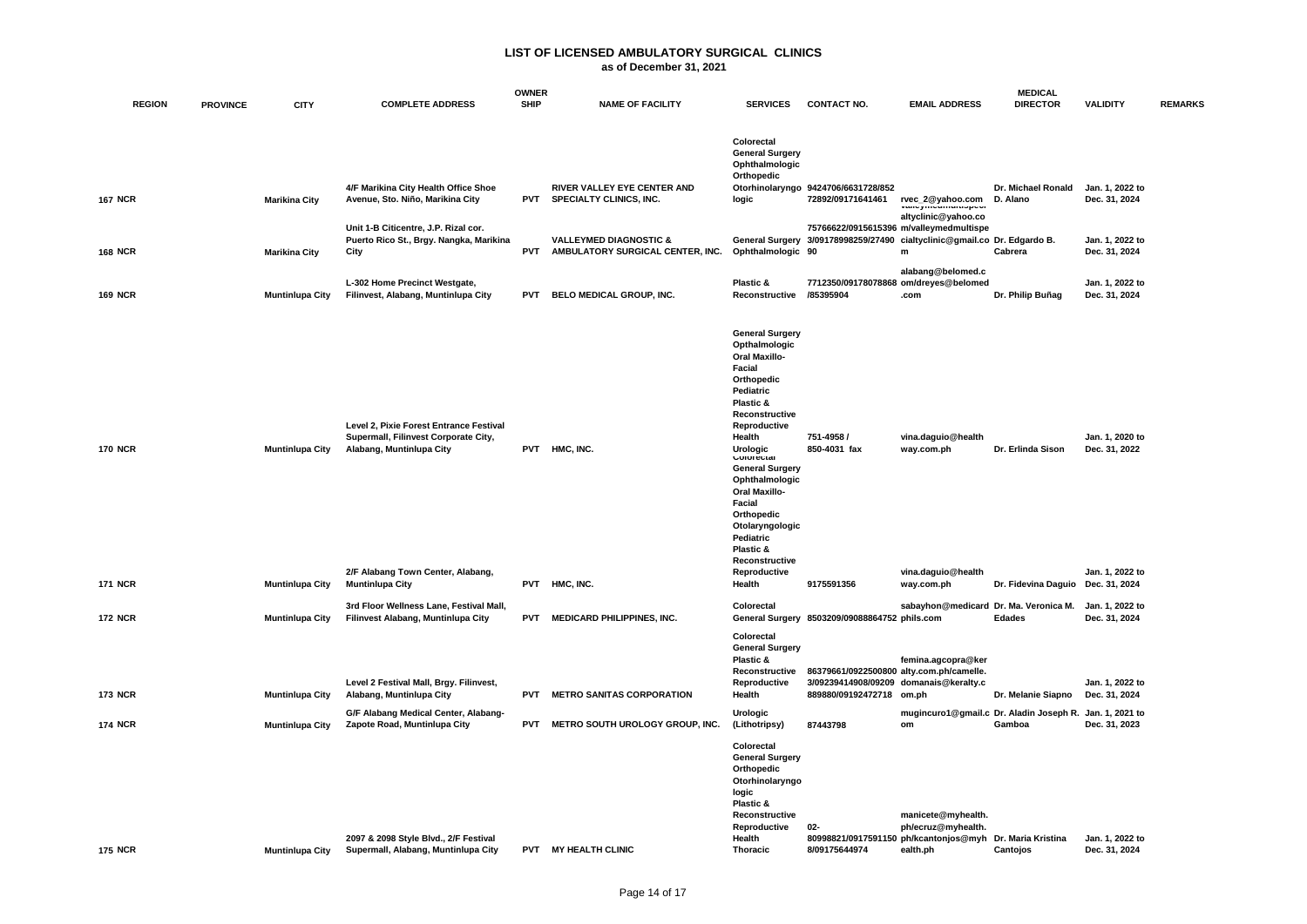### **as of December 31, 2021**

|                                                  |                                                                                                                                                                            |                          |                                                                       |                                                                                                                                                                                                                                                                                                                                                                              |                                          |                                                                                                                                                                               | <b>MEDICAL</b>                                                                                                                                                                                                                                                         |                                                                                                                                                                                                              |                                                                                                                                                                                         |
|--------------------------------------------------|----------------------------------------------------------------------------------------------------------------------------------------------------------------------------|--------------------------|-----------------------------------------------------------------------|------------------------------------------------------------------------------------------------------------------------------------------------------------------------------------------------------------------------------------------------------------------------------------------------------------------------------------------------------------------------------|------------------------------------------|-------------------------------------------------------------------------------------------------------------------------------------------------------------------------------|------------------------------------------------------------------------------------------------------------------------------------------------------------------------------------------------------------------------------------------------------------------------|--------------------------------------------------------------------------------------------------------------------------------------------------------------------------------------------------------------|-----------------------------------------------------------------------------------------------------------------------------------------------------------------------------------------|
|                                                  |                                                                                                                                                                            |                          |                                                                       |                                                                                                                                                                                                                                                                                                                                                                              |                                          |                                                                                                                                                                               |                                                                                                                                                                                                                                                                        |                                                                                                                                                                                                              | <b>REMARKS</b>                                                                                                                                                                          |
| <b>Marikina City</b>                             | 4/F Marikina City Health Office Shoe<br>Avenue, Sto. Niño, Marikina City                                                                                                   | <b>PVT</b>               | RIVER VALLEY EYE CENTER AND<br>SPECIALTY CLINICS, INC.                | Colorectal<br><b>General Surgery</b><br>Ophthalmologic<br>Orthopedic<br>logic                                                                                                                                                                                                                                                                                                | 72892/09171641461                        | rvec_2@yahoo.com                                                                                                                                                              | Dr. Michael Ronald                                                                                                                                                                                                                                                     | Dec. 31, 2024                                                                                                                                                                                                |                                                                                                                                                                                         |
| <b>Marikina City</b>                             | Unit 1-B Citicentre, J.P. Rizal cor.<br>Puerto Rico St., Brgy. Nangka, Marikina<br>City                                                                                    | <b>PVT</b>               | <b>VALLEYMED DIAGNOSTIC &amp;</b><br>AMBULATORY SURGICAL CENTER, INC. |                                                                                                                                                                                                                                                                                                                                                                              |                                          | m                                                                                                                                                                             | Cabrera                                                                                                                                                                                                                                                                | Jan. 1, 2022 to<br>Dec. 31, 2024                                                                                                                                                                             |                                                                                                                                                                                         |
| <b>Muntinlupa City</b>                           | L-302 Home Precinct Westgate,<br>Filinvest, Alabang, Muntinlupa City                                                                                                       | <b>PVT</b>               | BELO MEDICAL GROUP, INC.                                              | Plastic &                                                                                                                                                                                                                                                                                                                                                                    |                                          | alabang@belomed.c<br>.com                                                                                                                                                     | Dr. Philip Buñag                                                                                                                                                                                                                                                       | Jan. 1, 2022 to<br>Dec. 31, 2024                                                                                                                                                                             |                                                                                                                                                                                         |
| <b>Muntinlupa City</b><br><b>Muntinlupa City</b> | Level 2, Pixie Forest Entrance Festival<br>Supermall, Filinvest Corporate City,<br>Alabang, Muntinlupa City<br>2/F Alabang Town Center, Alabang,<br><b>Muntinlupa City</b> | <b>PVT</b><br><b>PVT</b> | HMC, INC.<br>HMC, INC.                                                | <b>General Surgery</b><br>Opthalmologic<br><b>Oral Maxillo-</b><br>Facial<br>Orthopedic<br>Pediatric<br>Plastic &<br>Reconstructive<br>Reproductive<br>Health<br>Urologic<br>Colorectal<br><b>General Surgery</b><br>Ophthalmologic<br><b>Oral Maxillo-</b><br>Facial<br>Orthopedic<br>Otolaryngologic<br>Pediatric<br>Plastic &<br>Reconstructive<br>Reproductive<br>Health | 751-4958 /<br>850-4031 fax<br>9175591356 | vina.daguio@health<br>way.com.ph<br>vina.daguio@health<br>way.com.ph                                                                                                          | Dr. Erlinda Sison                                                                                                                                                                                                                                                      | Jan. 1. 2020 to<br>Jan. 1, 2022 to                                                                                                                                                                           |                                                                                                                                                                                         |
| <b>Muntinlupa City</b>                           | 3rd Floor Wellness Lane, Festival Mall,<br>Filinvest Alabang, Muntinlupa City                                                                                              | <b>PVT</b>               | <b>MEDICARD PHILIPPINES, INC.</b>                                     | Colorectal                                                                                                                                                                                                                                                                                                                                                                   |                                          |                                                                                                                                                                               | <b>Edades</b>                                                                                                                                                                                                                                                          | Dec. 31, 2024                                                                                                                                                                                                |                                                                                                                                                                                         |
| <b>Muntinlupa City</b>                           | Level 2 Festival Mall, Brgy. Filinvest,<br>Alabang, Muntinlupa City                                                                                                        | <b>PVT</b>               | <b>METRO SANITAS CORPORATION</b>                                      | Colorectal<br><b>General Surgery</b><br>Plastic &<br>Reconstructive<br>Reproductive<br>Health                                                                                                                                                                                                                                                                                |                                          | femina.agcopra@ker<br>om.ph                                                                                                                                                   | Dr. Melanie Siapno                                                                                                                                                                                                                                                     | Jan. 1, 2022 to                                                                                                                                                                                              |                                                                                                                                                                                         |
| <b>Muntinlupa City</b>                           | G/F Alabang Medical Center, Alabang-<br>Zapote Road, Muntinlupa City                                                                                                       | <b>PVT</b>               | METRO SOUTH UROLOGY GROUP, INC.                                       | <b>Urologic</b><br>(Lithotripsy)                                                                                                                                                                                                                                                                                                                                             | 87443798                                 | om                                                                                                                                                                            | Gamboa                                                                                                                                                                                                                                                                 | Dec. 31, 2023                                                                                                                                                                                                |                                                                                                                                                                                         |
| <b>Muntinlupa City</b>                           | 2097 & 2098 Style Blvd., 2/F Festival<br>Supermall, Alabang, Muntinlupa City                                                                                               | <b>PVT</b>               | <b>MY HEALTH CLINIC</b>                                               | Colorectal<br>Orthopedic<br>logic<br>Plastic &<br>Reconstructive<br>Reproductive<br>Health<br><b>Thoracic</b>                                                                                                                                                                                                                                                                | 02-<br>8/09175644974                     | manicete@myhealth.<br>ph/ecruz@myhealth.<br>ealth.ph                                                                                                                          | Cantojos                                                                                                                                                                                                                                                               | Jan. 1, 2022 to<br>Dec. 31, 2024                                                                                                                                                                             |                                                                                                                                                                                         |
| <b>PROVINCE</b>                                  | <b>CITY</b>                                                                                                                                                                | <b>COMPLETE ADDRESS</b>  | <b>SHIP</b>                                                           | <b>OWNER</b><br><b>NAME OF FACILITY</b>                                                                                                                                                                                                                                                                                                                                      | <b>SERVICES</b>                          | <b>CONTACT NO.</b><br>Otorhinolaryngo 9424706/6631728/852<br>Ophthalmologic 90<br>Reconstructive /85395904<br>889880/09192472718<br><b>General Surgery</b><br>Otorhinolaryngo | <b>EMAIL ADDRESS</b><br>altyclinic@yahoo.co<br>75766622/0915615396 m/valleymedmultispe<br>7712350/09178078868 om/dreyes@belomed<br>General Surgery 8503209/09088864752 phils.com<br>86379661/0922500800 alty.com.ph/camelle.<br>3/09239414908/09209 domanais@keralty.c | <b>DIRECTOR</b><br>D. Alano<br>General Surgery 3/09178998259/27490 cialtyclinic@gmail.co Dr. Edgardo B.<br>sabayhon@medicard Dr. Ma. Veronica M.<br>80998821/0917591150 ph/kcantonjos@myh Dr. Maria Kristina | <b>VALIDITY</b><br>Jan. 1, 2022 to<br>Dec. 31, 2022<br>Dr. Fidevina Daguio Dec. 31, 2024<br>Jan. 1, 2022 to<br>Dec. 31, 2024<br>mugincuro1@gmail.c Dr. Aladin Joseph R. Jan. 1, 2021 to |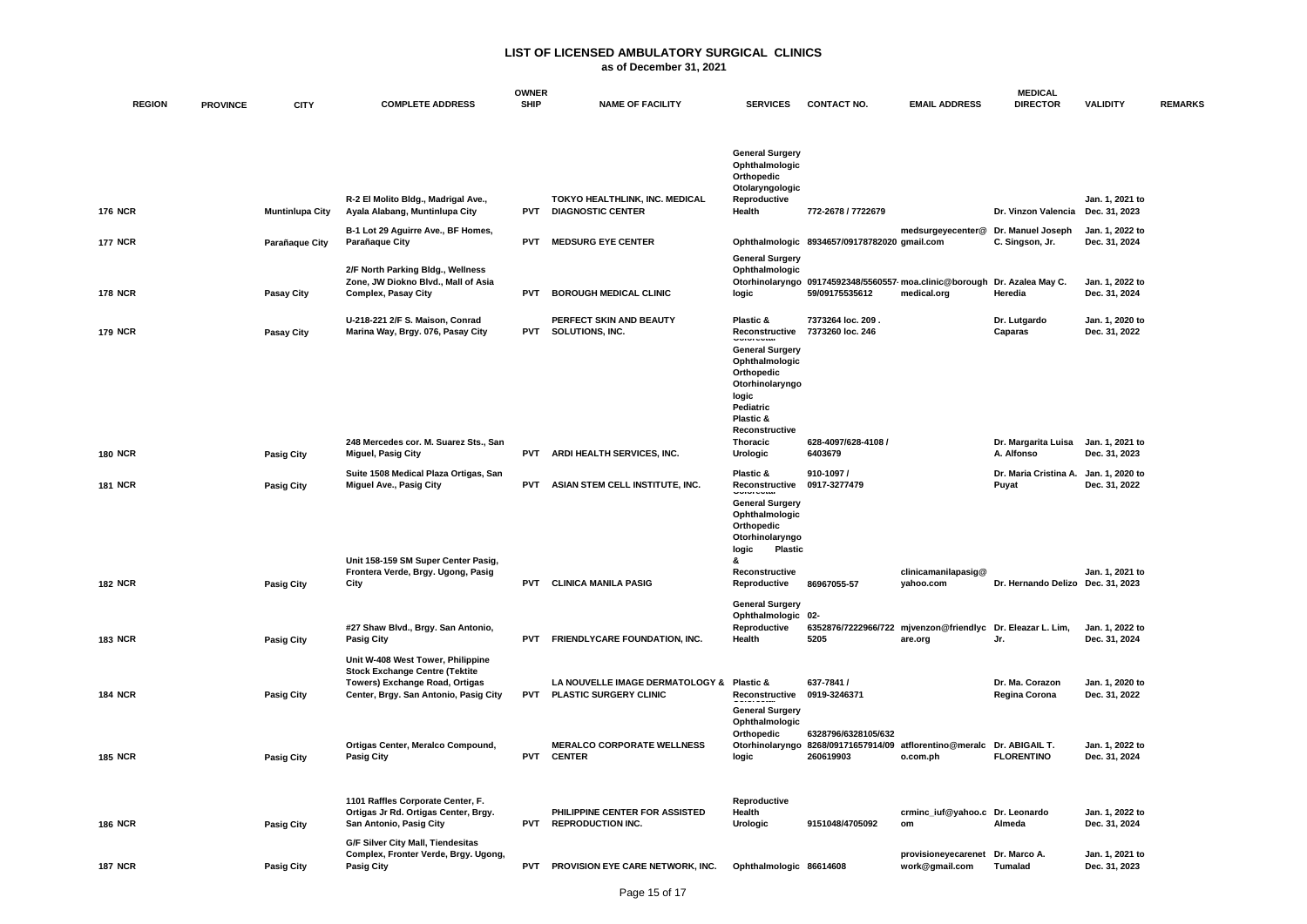|                |                 |                        |                                                                                                                                                       | <b>OWNER</b> |                                                                            |                                                                                                                                                               |                                                                                                            |                                                                       | <b>MEDICAL</b>                       |                                  |                |
|----------------|-----------------|------------------------|-------------------------------------------------------------------------------------------------------------------------------------------------------|--------------|----------------------------------------------------------------------------|---------------------------------------------------------------------------------------------------------------------------------------------------------------|------------------------------------------------------------------------------------------------------------|-----------------------------------------------------------------------|--------------------------------------|----------------------------------|----------------|
| <b>REGION</b>  | <b>PROVINCE</b> | <b>CITY</b>            | <b>COMPLETE ADDRESS</b>                                                                                                                               | <b>SHIP</b>  | <b>NAME OF FACILITY</b>                                                    | <b>SERVICES</b>                                                                                                                                               | <b>CONTACT NO.</b>                                                                                         | <b>EMAIL ADDRESS</b>                                                  | <b>DIRECTOR</b>                      | <b>VALIDITY</b>                  | <b>REMARKS</b> |
| <b>176 NCR</b> |                 | <b>Muntinlupa City</b> | R-2 El Molito Bldg., Madrigal Ave.,<br>Ayala Alabang, Muntinlupa City                                                                                 | <b>PVT</b>   | TOKYO HEALTHLINK, INC. MEDICAL<br><b>DIAGNOSTIC CENTER</b>                 | <b>General Surgery</b><br>Ophthalmologic<br>Orthopedic<br>Otolaryngologic<br>Reproductive<br>Health                                                           | 772-2678 / 7722679                                                                                         |                                                                       | Dr. Vinzon Valencia                  | Jan. 1, 2021 to<br>Dec. 31, 2023 |                |
| <b>177 NCR</b> |                 | Parañaque City         | B-1 Lot 29 Aguirre Ave., BF Homes,<br>Parañaque City                                                                                                  | <b>PVT</b>   | <b>MEDSURG EYE CENTER</b>                                                  |                                                                                                                                                               | Ophthalmologic 8934657/09178782020 gmail.com                                                               | medsurgeyecenter@                                                     | Dr. Manuel Joseph<br>C. Singson, Jr. | Jan. 1, 2022 to<br>Dec. 31, 2024 |                |
| <b>178 NCR</b> |                 | <b>Pasay City</b>      | 2/F North Parking Bldg., Wellness<br>Zone, JW Diokno Blvd., Mall of Asia<br><b>Complex, Pasay City</b>                                                | <b>PVT</b>   | <b>BOROUGH MEDICAL CLINIC</b>                                              | <b>General Surgery</b><br>Ophthalmologic<br>logic                                                                                                             | Otorhinolaryngo 09174592348/5560557 moa.clinic@borough<br>59/09175535612                                   | medical.org                                                           | Dr. Azalea May C.<br>Heredia         | Jan. 1, 2022 to<br>Dec. 31, 2024 |                |
| <b>179 NCR</b> |                 | Pasay City             | U-218-221 2/F S. Maison, Conrad<br>Marina Way, Brgy. 076, Pasay City                                                                                  | <b>PVT</b>   | PERFECT SKIN AND BEAUTY<br>SOLUTIONS, INC.                                 | Plastic &<br>Reconstructive<br><b>General Surgery</b><br>Ophthalmologic<br>Orthopedic<br>Otorhinolaryngo<br>logic<br>Pediatric<br>Plastic &<br>Reconstructive | 7373264 loc. 209.<br>7373260 loc. 246                                                                      |                                                                       | Dr. Lutgardo<br>Caparas              | Jan. 1, 2020 to<br>Dec. 31, 2022 |                |
| 180 NCR        |                 | <b>Pasig City</b>      | 248 Mercedes cor. M. Suarez Sts., San<br><b>Miguel, Pasig City</b>                                                                                    | <b>PVT</b>   | ARDI HEALTH SERVICES, INC.                                                 | Thoracic<br>Urologic                                                                                                                                          | 628-4097/628-4108 /<br>6403679                                                                             |                                                                       | Dr. Margarita Luisa<br>A. Alfonso    | Jan. 1, 2021 to<br>Dec. 31, 2023 |                |
| <b>181 NCR</b> |                 | <b>Pasig City</b>      | Suite 1508 Medical Plaza Ortigas, San<br>Miguel Ave., Pasig City                                                                                      | <b>PVT</b>   | ASIAN STEM CELL INSTITUTE, INC.                                            | Plastic &<br>Reconstructive<br><b>General Surgery</b><br>Ophthalmologic<br>Orthopedic<br>Otorhinolaryngo<br>logic<br><b>Plastic</b>                           | 910-1097/<br>0917-3277479                                                                                  |                                                                       | Dr. Maria Cristina A.<br>Puyat       | Jan. 1. 2020 to<br>Dec. 31, 2022 |                |
| <b>182 NCR</b> |                 | <b>Pasig City</b>      | Unit 158-159 SM Super Center Pasig,<br>Frontera Verde, Brgy. Ugong, Pasig<br>City                                                                     | <b>PVT</b>   | <b>CLINICA MANILA PASIG</b>                                                | &<br>Reconstructive<br>Reproductive                                                                                                                           | 86967055-57                                                                                                | clinicamanilapasig@<br>yahoo.com                                      | Dr. Hernando Delizo Dec. 31, 2023    | Jan. 1, 2021 to                  |                |
| <b>183 NCR</b> |                 | <b>Pasig City</b>      | #27 Shaw Blvd., Brgy. San Antonio,<br><b>Pasig City</b>                                                                                               | <b>PVT</b>   | <b>FRIENDLYCARE FOUNDATION, INC.</b>                                       | <b>General Surgery</b><br>Ophthalmologic 02-<br>Reproductive<br>Health                                                                                        | 5205                                                                                                       | 6352876/7222966/722 mjvenzon@friendlyc Dr. Eleazar L. Lim,<br>are.org | Jr.                                  | Jan. 1, 2022 to<br>Dec. 31, 2024 |                |
| <b>184 NCR</b> |                 | <b>Pasig City</b>      | Unit W-408 West Tower, Philippine<br><b>Stock Exchange Centre (Tektite</b><br>Towers) Exchange Road, Ortigas<br>Center, Brgy. San Antonio, Pasig City | <b>PVT</b>   | LA NOUVELLE IMAGE DERMATOLOGY & Plastic &<br><b>PLASTIC SURGERY CLINIC</b> | Reconstructive 0919-3246371<br><b>General Surgery</b>                                                                                                         | 637-7841 /                                                                                                 |                                                                       | Dr. Ma. Corazon<br>Regina Corona     | Jan. 1, 2020 to<br>Dec. 31, 2022 |                |
| <b>185 NCR</b> |                 | <b>Pasig City</b>      | Ortigas Center, Meralco Compound,<br><b>Pasig City</b>                                                                                                |              | <b>MERALCO CORPORATE WELLNESS</b><br>PVT CENTER                            | Ophthalmologic<br>Orthopedic<br>logic                                                                                                                         | 6328796/6328105/632<br>Otorhinolaryngo 8268/09171657914/09 atflorentino@meralc Dr. ABIGAIL T.<br>260619903 | o.com.ph                                                              | <b>FLORENTINO</b>                    | Jan. 1, 2022 to<br>Dec. 31, 2024 |                |
| <b>186 NCR</b> |                 | <b>Pasig City</b>      | 1101 Raffles Corporate Center, F.<br>Ortigas Jr Rd. Ortigas Center, Brgy.<br>San Antonio, Pasig City                                                  | <b>PVT</b>   | PHILIPPINE CENTER FOR ASSISTED<br><b>REPRODUCTION INC.</b>                 | Reproductive<br>Health<br>Urologic                                                                                                                            | 9151048/4705092                                                                                            | crminc_iuf@yahoo.c Dr. Leonardo<br>om                                 | Almeda                               | Jan. 1, 2022 to<br>Dec. 31, 2024 |                |
| <b>187 NCR</b> |                 | <b>Pasig City</b>      | G/F Silver City Mall, Tiendesitas<br>Complex, Fronter Verde, Brgy. Ugong,<br><b>Pasig City</b>                                                        | <b>PVT</b>   | PROVISION EYE CARE NETWORK, INC.                                           | Ophthalmologic 86614608                                                                                                                                       |                                                                                                            | provisioneyecarenet Dr. Marco A.<br>work@gmail.com                    | Tumalad                              | Jan. 1, 2021 to<br>Dec. 31, 2023 |                |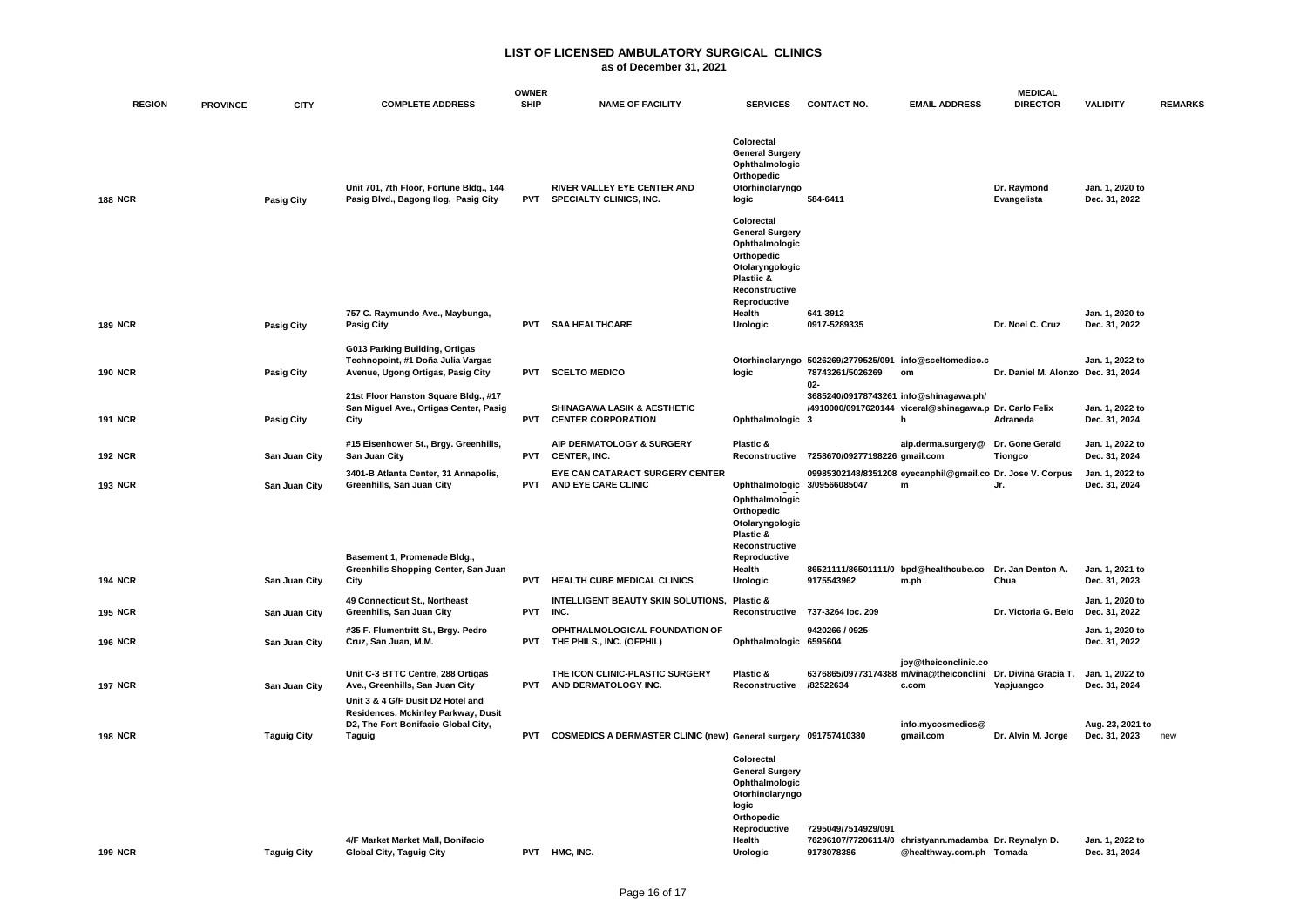|                |                 |                    |                                                                                                                           | <b>OWNER</b> |                                                                             |                                                                                                                                                    |                                                                                      |                                                                                               | <b>MEDICAL</b>                     |                                   |                |
|----------------|-----------------|--------------------|---------------------------------------------------------------------------------------------------------------------------|--------------|-----------------------------------------------------------------------------|----------------------------------------------------------------------------------------------------------------------------------------------------|--------------------------------------------------------------------------------------|-----------------------------------------------------------------------------------------------|------------------------------------|-----------------------------------|----------------|
| <b>REGION</b>  | <b>PROVINCE</b> | <b>CITY</b>        | <b>COMPLETE ADDRESS</b>                                                                                                   | <b>SHIP</b>  | <b>NAME OF FACILITY</b>                                                     | <b>SERVICES</b>                                                                                                                                    | <b>CONTACT NO.</b>                                                                   | <b>EMAIL ADDRESS</b>                                                                          | <b>DIRECTOR</b>                    | <b>VALIDITY</b>                   | <b>REMARKS</b> |
| <b>188 NCR</b> |                 | <b>Pasig City</b>  | Unit 701, 7th Floor, Fortune Bldg., 144<br>Pasig Blvd., Bagong Ilog, Pasig City                                           | <b>PVT</b>   | RIVER VALLEY EYE CENTER AND<br>SPECIALTY CLINICS, INC.                      | Colorectal<br><b>General Surgery</b><br>Ophthalmologic<br>Orthopedic<br>Otorhinolaryngo<br>logic                                                   | 584-6411                                                                             |                                                                                               | Dr. Raymond<br>Evangelista         | Jan. 1, 2020 to<br>Dec. 31, 2022  |                |
|                |                 |                    |                                                                                                                           |              |                                                                             | Colorectal<br><b>General Surgery</b><br>Ophthalmologic<br>Orthopedic<br>Otolaryngologic<br><b>Plastiic &amp;</b><br>Reconstructive<br>Reproductive |                                                                                      |                                                                                               |                                    |                                   |                |
| <b>189 NCR</b> |                 | <b>Pasig City</b>  | 757 C. Raymundo Ave., Maybunga,<br><b>Pasig City</b>                                                                      | <b>PVT</b>   | <b>SAA HEALTHCARE</b>                                                       | Health<br>Urologic                                                                                                                                 | 641-3912<br>0917-5289335                                                             |                                                                                               | Dr. Noel C. Cruz                   | Jan. 1, 2020 to<br>Dec. 31, 2022  |                |
| <b>190 NCR</b> |                 | <b>Pasig City</b>  | G013 Parking Building, Ortigas<br>Technopoint, #1 Doña Julia Vargas<br>Avenue, Ugong Ortigas, Pasig City                  | <b>PVT</b>   | <b>SCELTO MEDICO</b>                                                        | logic                                                                                                                                              | Otorhinolaryngo 5026269/2779525/091 info@sceltomedico.c<br>78743261/5026269<br>$02-$ | om                                                                                            | Dr. Daniel M. Alonzo Dec. 31, 2024 | Jan. 1. 2022 to                   |                |
| <b>191 NCR</b> |                 | <b>Pasig City</b>  | 21st Floor Hanston Square Bldg., #17<br>San Miguel Ave., Ortigas Center, Pasig<br>City                                    | <b>PVT</b>   | SHINAGAWA LASIK & AESTHETIC<br><b>CENTER CORPORATION</b>                    | Ophthalmologic 3                                                                                                                                   | 3685240/09178743261 info@shinagawa.ph/                                               | /4910000/0917620144 viceral@shinagawa.p Dr. Carlo Felix<br>h                                  | Adraneda                           | Jan. 1, 2022 to<br>Dec. 31, 2024  |                |
| <b>192 NCR</b> |                 | San Juan City      | #15 Eisenhower St., Brgy. Greenhills,<br>San Juan City                                                                    | <b>PVT</b>   | AIP DERMATOLOGY & SURGERY<br>CENTER, INC.                                   | Plastic &                                                                                                                                          | Reconstructive 7258670/09277198226 gmail.com                                         | aip.derma.surgery@                                                                            | Dr. Gone Gerald<br><b>Tiongco</b>  | Jan. 1, 2022 to<br>Dec. 31, 2024  |                |
| <b>193 NCR</b> |                 | San Juan City      | 3401-B Atlanta Center, 31 Annapolis,<br>Greenhills, San Juan City                                                         | <b>PVT</b>   | EYE CAN CATARACT SURGERY CENTER<br>AND EYE CARE CLINIC                      | Ophthalmologic 3/09566085047<br>Ophthalmologic<br>Orthopedic<br>Otolaryngologic<br>Plastic &<br>Reconstructive                                     |                                                                                      | 09985302148/8351208 eyecanphil@gmail.co Dr. Jose V. Corpus<br>${\bf m}$                       | Jr.                                | Jan. 1, 2022 to<br>Dec. 31, 2024  |                |
|                |                 |                    | Basement 1, Promenade Bldg.,<br>Greenhills Shopping Center, San Juan                                                      |              |                                                                             | Reproductive<br>Health                                                                                                                             |                                                                                      | 86521111/86501111/0 bpd@healthcube.co                                                         | Dr. Jan Denton A.                  | Jan. 1. 2021 to                   |                |
| <b>194 NCR</b> |                 | San Juan City      | City<br>49 Connecticut St., Northeast                                                                                     | <b>PVT</b>   | HEALTH CUBE MEDICAL CLINICS<br>INTELLIGENT BEAUTY SKIN SOLUTIONS, Plastic & | Urologic                                                                                                                                           | 9175543962                                                                           | m.ph                                                                                          | Chua                               | Dec. 31, 2023<br>Jan. 1, 2020 to  |                |
| <b>195 NCR</b> |                 | San Juan City      | Greenhills, San Juan City                                                                                                 | <b>PVT</b>   | INC.                                                                        | Reconstructive                                                                                                                                     | 737-3264 loc. 209                                                                    |                                                                                               | Dr. Victoria G. Belo               | Dec. 31, 2022                     |                |
| <b>196 NCR</b> |                 | San Juan City      | #35 F. Flumentritt St., Brgy. Pedro<br>Cruz, San Juan, M.M.                                                               |              | OPHTHALMOLOGICAL FOUNDATION OF<br>PVT THE PHILS., INC. (OFPHIL)             | Ophthalmologic 6595604                                                                                                                             | 9420266 / 0925-                                                                      |                                                                                               |                                    | Jan. 1, 2020 to<br>Dec. 31, 2022  |                |
| <b>197 NCR</b> |                 | San Juan City      | Unit C-3 BTTC Centre, 288 Ortigas<br>Ave., Greenhills, San Juan City                                                      |              | THE ICON CLINIC-PLASTIC SURGERY<br>PVT AND DERMATOLOGY INC.                 | Plastic &<br>Reconstructive                                                                                                                        | /82522634                                                                            | joy@theiconclinic.co<br>6376865/09773174388 m/vina@theiconclini Dr. Divina Gracia T.<br>c.com | Yapjuangco                         | Jan. 1, 2022 to<br>Dec. 31, 2024  |                |
| <b>198 NCR</b> |                 | <b>Taguig City</b> | Unit 3 & 4 G/F Dusit D2 Hotel and<br>Residences, Mckinley Parkway, Dusit<br>D2, The Fort Bonifacio Global City,<br>Taguig | <b>PVT</b>   | COSMEDICS A DERMASTER CLINIC (new) General surgery 091757410380             |                                                                                                                                                    |                                                                                      | info.mycosmedics@<br>gmail.com                                                                | Dr. Alvin M. Jorge                 | Aug. 23, 2021 to<br>Dec. 31, 2023 | new            |
|                |                 |                    | 4/F Market Market Mall, Bonifacio                                                                                         |              |                                                                             | Colorectal<br><b>General Surgery</b><br>Ophthalmologic<br>Otorhinolaryngo<br>logic<br>Orthopedic<br>Reproductive<br>Health                         | 7295049/7514929/091                                                                  | 76296107/77206114/0 christyann.madamba Dr. Reynalyn D.                                        |                                    | Jan. 1, 2022 to                   |                |
| <b>199 NCR</b> |                 | <b>Taguig City</b> | <b>Global City, Taguig City</b>                                                                                           |              | PVT HMC, INC.                                                               | Urologic                                                                                                                                           | 9178078386                                                                           | @healthway.com.ph Tomada                                                                      |                                    | Dec. 31, 2024                     |                |